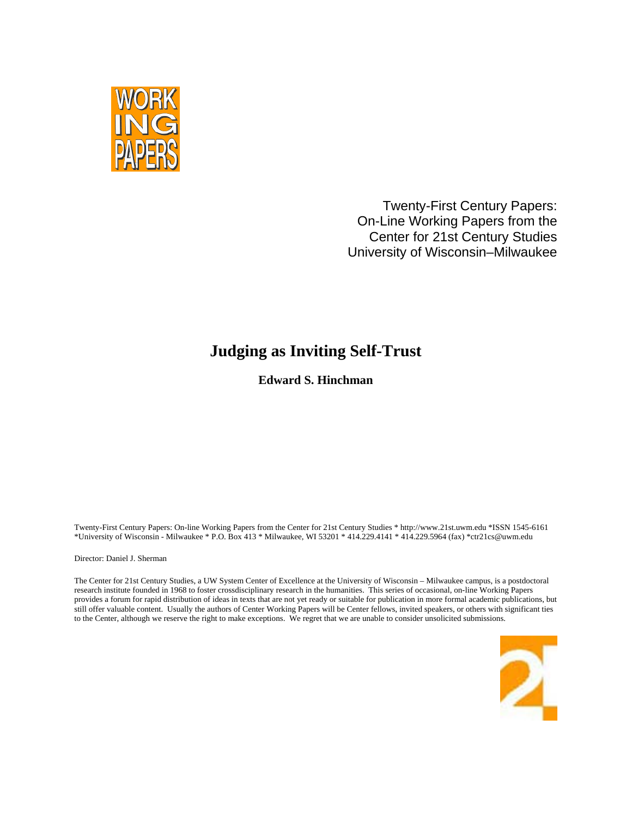

Twenty-First Century Papers: On-Line Working Papers from the Center for 21st Century Studies University of Wisconsin–Milwaukee

## **Judging as Inviting Self-Trust**

**Edward S. Hinchman**

Twenty-First Century Papers: On-line Working Papers from the Center for 21st Century Studies \* http://www.21st.uwm.edu \*ISSN 1545-6161 \*University of Wisconsin - Milwaukee \* P.O. Box 413 \* Milwaukee, WI 53201 \* 414.229.4141 \* 414.229.5964 (fax) \*ctr21cs@uwm.edu

Director: Daniel J. Sherman

The Center for 21st Century Studies, a UW System Center of Excellence at the University of Wisconsin – Milwaukee campus, is a postdoctoral research institute founded in 1968 to foster crossdisciplinary research in the humanities. This series of occasional, on-line Working Papers provides a forum for rapid distribution of ideas in texts that are not yet ready or suitable for publication in more formal academic publications, but still offer valuable content. Usually the authors of Center Working Papers will be Center fellows, invited speakers, or others with significant ties to the Center, although we reserve the right to make exceptions. We regret that we are unable to consider unsolicited submissions.

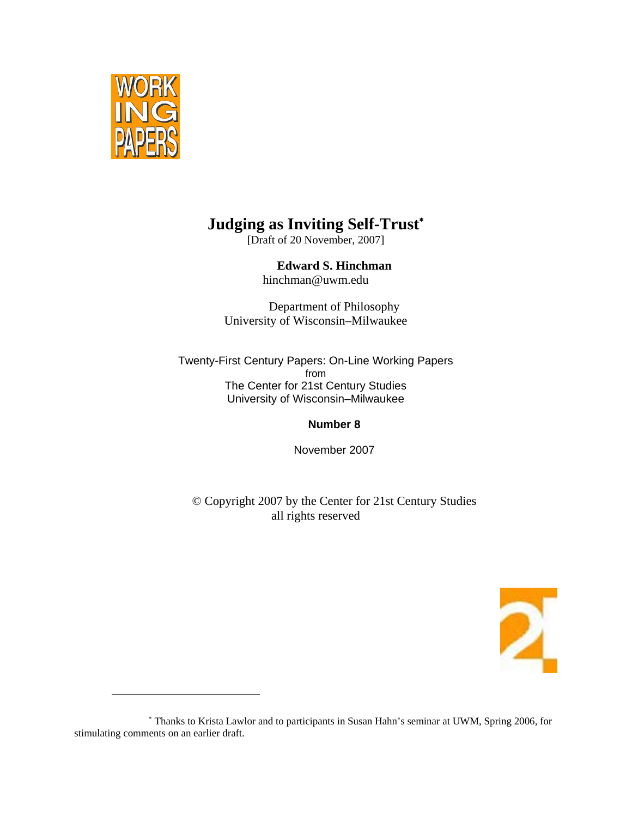

 $\overline{a}$ 

# **Judging as Inviting Self-Trust**<sup>∗</sup>

[Draft of 20 November, 2007]

**Edward S. Hinchman**  hinchman@uwm.edu

Department of Philosophy University of Wisconsin–Milwaukee

Twenty-First Century Papers: On-Line Working Papers from The Center for 21st Century Studies University of Wisconsin–Milwaukee

**Number 8** 

November 2007

© Copyright 2007 by the Center for 21st Century Studies all rights reserved



<sup>∗</sup> Thanks to Krista Lawlor and to participants in Susan Hahn's seminar at UWM, Spring 2006, for stimulating comments on an earlier draft.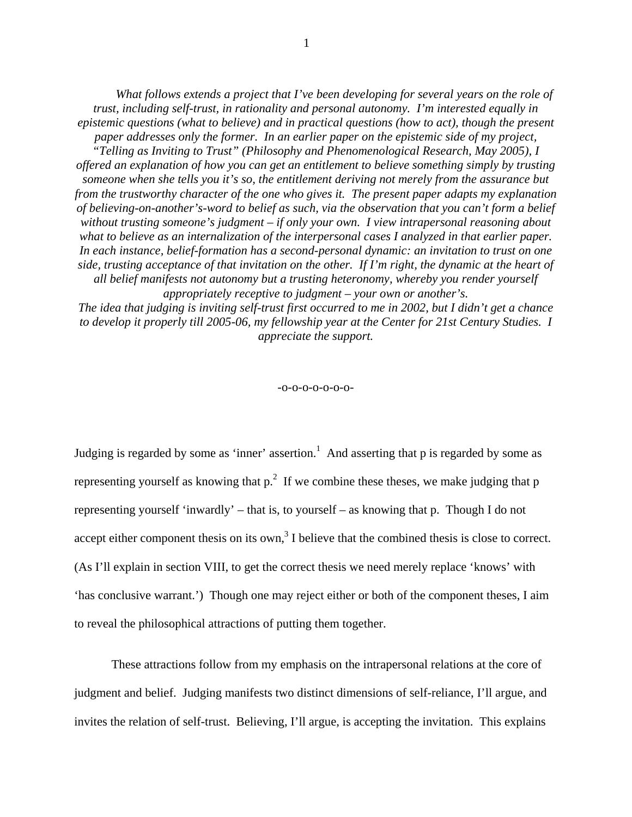*What follows extends a project that I've been developing for several years on the role of trust, including self-trust, in rationality and personal autonomy. I'm interested equally in epistemic questions (what to believe) and in practical questions (how to act), though the present paper addresses only the former. In an earlier paper on the epistemic side of my project, "Telling as Inviting to Trust" (Philosophy and Phenomenological Research, May 2005), I offered an explanation of how you can get an entitlement to believe something simply by trusting someone when she tells you it's so, the entitlement deriving not merely from the assurance but from the trustworthy character of the one who gives it. The present paper adapts my explanation of believing-on-another's-word to belief as such, via the observation that you can't form a belief without trusting someone's judgment – if only your own. I view intrapersonal reasoning about*  what to believe as an internalization of the interpersonal cases I analyzed in that earlier paper. *In each instance, belief-formation has a second-personal dynamic: an invitation to trust on one side, trusting acceptance of that invitation on the other. If I'm right, the dynamic at the heart of all belief manifests not autonomy but a trusting heteronomy, whereby you render yourself appropriately receptive to judgment – your own or another's.* 

*The idea that judging is inviting self-trust first occurred to me in 2002, but I didn't get a chance to develop it properly till 2005-06, my fellowship year at the Center for 21st Century Studies. I appreciate the support.* 

-o-o-o-o-o-o-o-

Judging is regarded by some as 'inner' assertion.<sup>1</sup> And asserting that  $p$  is regarded by some as representing yourself as knowing that  $p^2$ . If we combine these theses, we make judging that p representing yourself 'inwardly' – that is, to yourself – as knowing that p. Though I do not accept either component thesis on its own, $3$  I believe that the combined thesis is close to correct. (As I'll explain in section VIII, to get the correct thesis we need merely replace 'knows' with 'has conclusive warrant.') Though one may reject either or both of the component theses, I aim to reveal the philosophical attractions of putting them together.

These attractions follow from my emphasis on the intrapersonal relations at the core of judgment and belief. Judging manifests two distinct dimensions of self-reliance, I'll argue, and invites the relation of self-trust. Believing, I'll argue, is accepting the invitation. This explains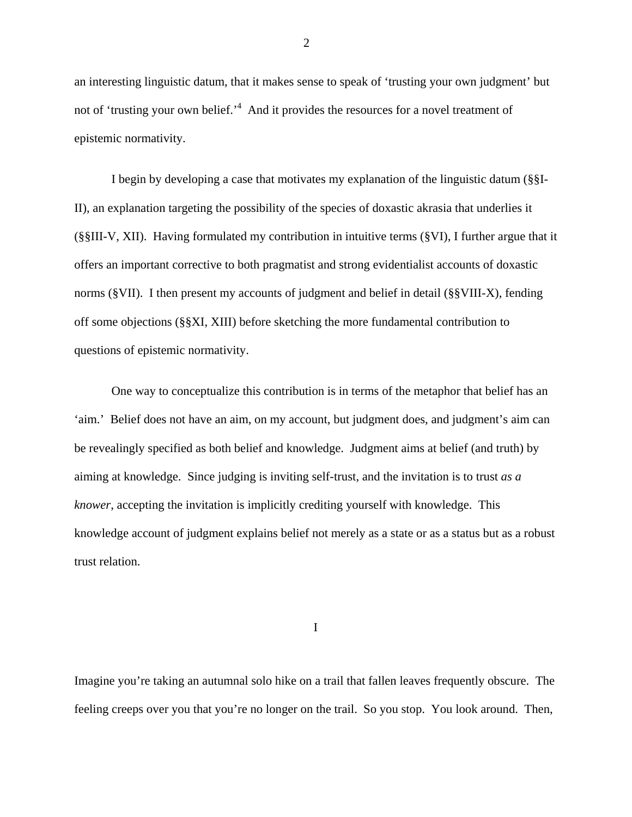an interesting linguistic datum, that it makes sense to speak of 'trusting your own judgment' but not of 'trusting your own belief.'<sup>4</sup> And it provides the resources for a novel treatment of epistemic normativity.

I begin by developing a case that motivates my explanation of the linguistic datum (§§I-II), an explanation targeting the possibility of the species of doxastic akrasia that underlies it (§§III-V, XII). Having formulated my contribution in intuitive terms (§VI), I further argue that it offers an important corrective to both pragmatist and strong evidentialist accounts of doxastic norms (§VII). I then present my accounts of judgment and belief in detail (§§VIII-X), fending off some objections (§§XI, XIII) before sketching the more fundamental contribution to questions of epistemic normativity.

One way to conceptualize this contribution is in terms of the metaphor that belief has an 'aim.' Belief does not have an aim, on my account, but judgment does, and judgment's aim can be revealingly specified as both belief and knowledge. Judgment aims at belief (and truth) by aiming at knowledge. Since judging is inviting self-trust, and the invitation is to trust *as a knower*, accepting the invitation is implicitly crediting yourself with knowledge. This knowledge account of judgment explains belief not merely as a state or as a status but as a robust trust relation.

I

Imagine you're taking an autumnal solo hike on a trail that fallen leaves frequently obscure. The feeling creeps over you that you're no longer on the trail. So you stop. You look around. Then,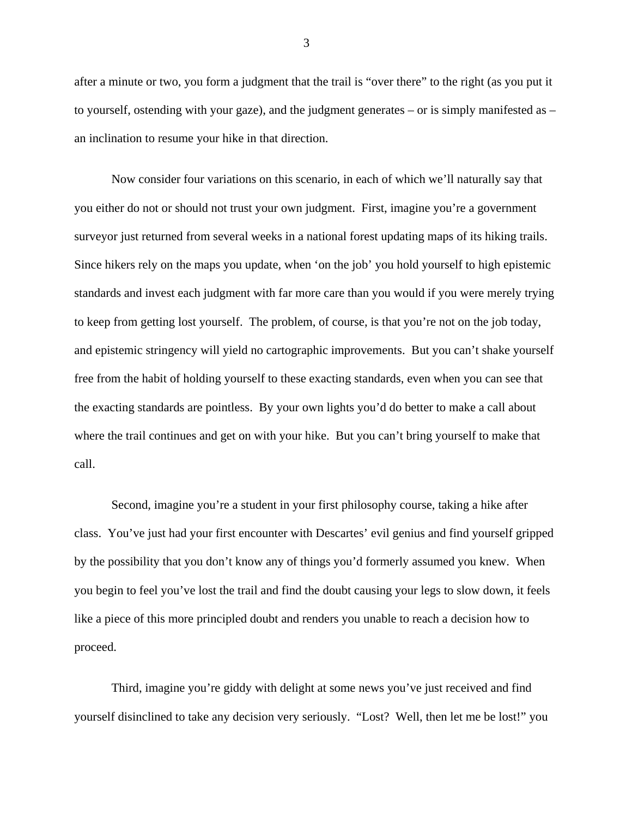after a minute or two, you form a judgment that the trail is "over there" to the right (as you put it to yourself, ostending with your gaze), and the judgment generates – or is simply manifested as – an inclination to resume your hike in that direction.

Now consider four variations on this scenario, in each of which we'll naturally say that you either do not or should not trust your own judgment. First, imagine you're a government surveyor just returned from several weeks in a national forest updating maps of its hiking trails. Since hikers rely on the maps you update, when 'on the job' you hold yourself to high epistemic standards and invest each judgment with far more care than you would if you were merely trying to keep from getting lost yourself. The problem, of course, is that you're not on the job today, and epistemic stringency will yield no cartographic improvements. But you can't shake yourself free from the habit of holding yourself to these exacting standards, even when you can see that the exacting standards are pointless. By your own lights you'd do better to make a call about where the trail continues and get on with your hike. But you can't bring yourself to make that call.

Second, imagine you're a student in your first philosophy course, taking a hike after class. You've just had your first encounter with Descartes' evil genius and find yourself gripped by the possibility that you don't know any of things you'd formerly assumed you knew. When you begin to feel you've lost the trail and find the doubt causing your legs to slow down, it feels like a piece of this more principled doubt and renders you unable to reach a decision how to proceed.

Third, imagine you're giddy with delight at some news you've just received and find yourself disinclined to take any decision very seriously. "Lost? Well, then let me be lost!" you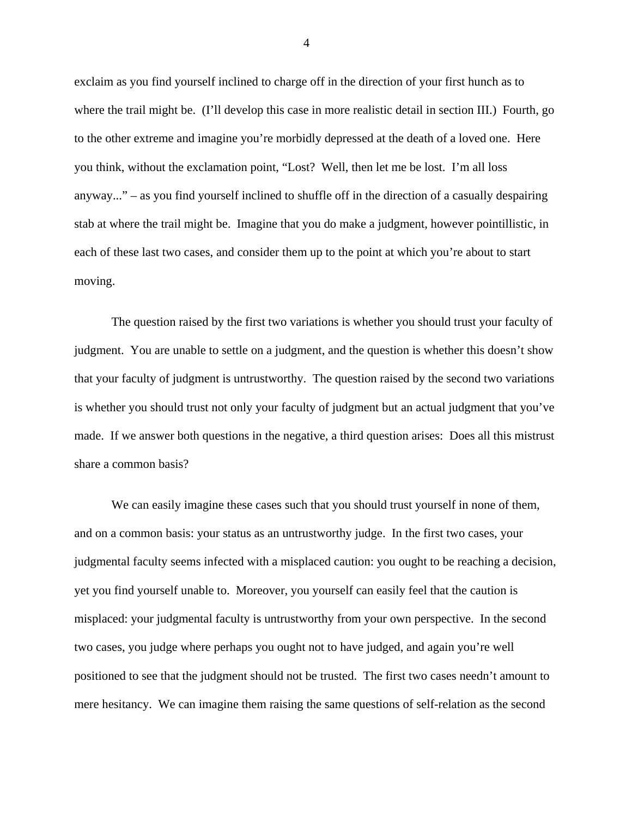exclaim as you find yourself inclined to charge off in the direction of your first hunch as to where the trail might be. (I'll develop this case in more realistic detail in section III.) Fourth, go to the other extreme and imagine you're morbidly depressed at the death of a loved one. Here you think, without the exclamation point, "Lost? Well, then let me be lost. I'm all loss anyway..." – as you find yourself inclined to shuffle off in the direction of a casually despairing stab at where the trail might be. Imagine that you do make a judgment, however pointillistic, in each of these last two cases, and consider them up to the point at which you're about to start moving.

The question raised by the first two variations is whether you should trust your faculty of judgment. You are unable to settle on a judgment, and the question is whether this doesn't show that your faculty of judgment is untrustworthy. The question raised by the second two variations is whether you should trust not only your faculty of judgment but an actual judgment that you've made. If we answer both questions in the negative, a third question arises: Does all this mistrust share a common basis?

We can easily imagine these cases such that you should trust yourself in none of them, and on a common basis: your status as an untrustworthy judge. In the first two cases, your judgmental faculty seems infected with a misplaced caution: you ought to be reaching a decision, yet you find yourself unable to. Moreover, you yourself can easily feel that the caution is misplaced: your judgmental faculty is untrustworthy from your own perspective. In the second two cases, you judge where perhaps you ought not to have judged, and again you're well positioned to see that the judgment should not be trusted. The first two cases needn't amount to mere hesitancy. We can imagine them raising the same questions of self-relation as the second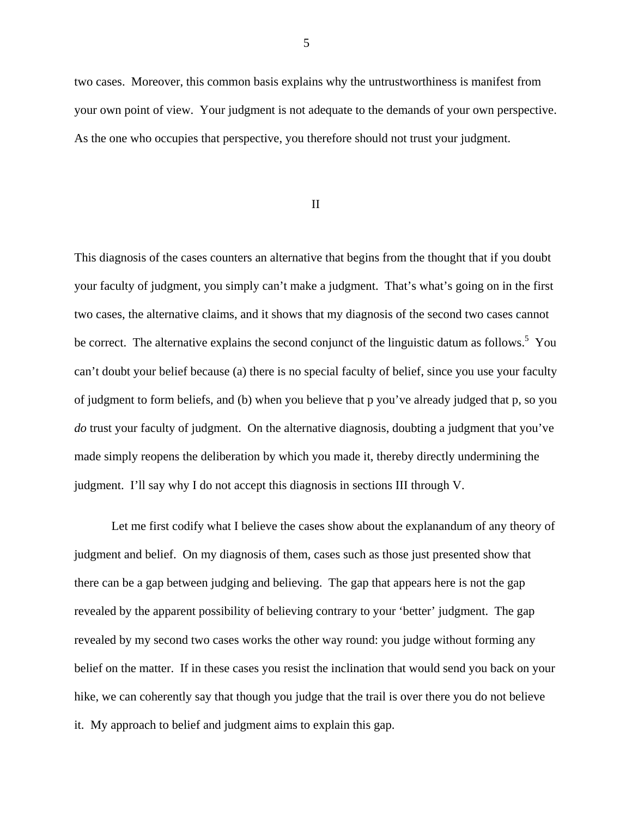two cases. Moreover, this common basis explains why the untrustworthiness is manifest from your own point of view. Your judgment is not adequate to the demands of your own perspective. As the one who occupies that perspective, you therefore should not trust your judgment.

II

This diagnosis of the cases counters an alternative that begins from the thought that if you doubt your faculty of judgment, you simply can't make a judgment. That's what's going on in the first two cases, the alternative claims, and it shows that my diagnosis of the second two cases cannot be correct. The alternative explains the second conjunct of the linguistic datum as follows.<sup>5</sup> You can't doubt your belief because (a) there is no special faculty of belief, since you use your faculty of judgment to form beliefs, and (b) when you believe that p you've already judged that p, so you *do* trust your faculty of judgment. On the alternative diagnosis, doubting a judgment that you've made simply reopens the deliberation by which you made it, thereby directly undermining the judgment. I'll say why I do not accept this diagnosis in sections III through V.

Let me first codify what I believe the cases show about the explanandum of any theory of judgment and belief. On my diagnosis of them, cases such as those just presented show that there can be a gap between judging and believing. The gap that appears here is not the gap revealed by the apparent possibility of believing contrary to your 'better' judgment. The gap revealed by my second two cases works the other way round: you judge without forming any belief on the matter. If in these cases you resist the inclination that would send you back on your hike, we can coherently say that though you judge that the trail is over there you do not believe it. My approach to belief and judgment aims to explain this gap.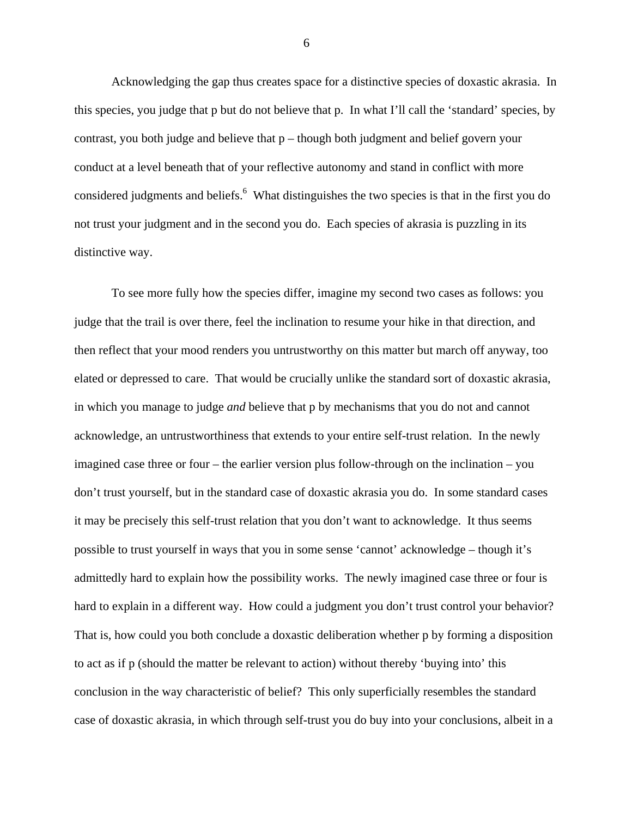Acknowledging the gap thus creates space for a distinctive species of doxastic akrasia. In this species, you judge that p but do not believe that p. In what I'll call the 'standard' species, by contrast, you both judge and believe that p – though both judgment and belief govern your conduct at a level beneath that of your reflective autonomy and stand in conflict with more considered judgments and beliefs.<sup>6</sup> What distinguishes the two species is that in the first you do not trust your judgment and in the second you do. Each species of akrasia is puzzling in its distinctive way.

To see more fully how the species differ, imagine my second two cases as follows: you judge that the trail is over there, feel the inclination to resume your hike in that direction, and then reflect that your mood renders you untrustworthy on this matter but march off anyway, too elated or depressed to care. That would be crucially unlike the standard sort of doxastic akrasia, in which you manage to judge *and* believe that p by mechanisms that you do not and cannot acknowledge, an untrustworthiness that extends to your entire self-trust relation. In the newly imagined case three or four – the earlier version plus follow-through on the inclination – you don't trust yourself, but in the standard case of doxastic akrasia you do. In some standard cases it may be precisely this self-trust relation that you don't want to acknowledge. It thus seems possible to trust yourself in ways that you in some sense 'cannot' acknowledge – though it's admittedly hard to explain how the possibility works. The newly imagined case three or four is hard to explain in a different way. How could a judgment you don't trust control your behavior? That is, how could you both conclude a doxastic deliberation whether p by forming a disposition to act as if p (should the matter be relevant to action) without thereby 'buying into' this conclusion in the way characteristic of belief? This only superficially resembles the standard case of doxastic akrasia, in which through self-trust you do buy into your conclusions, albeit in a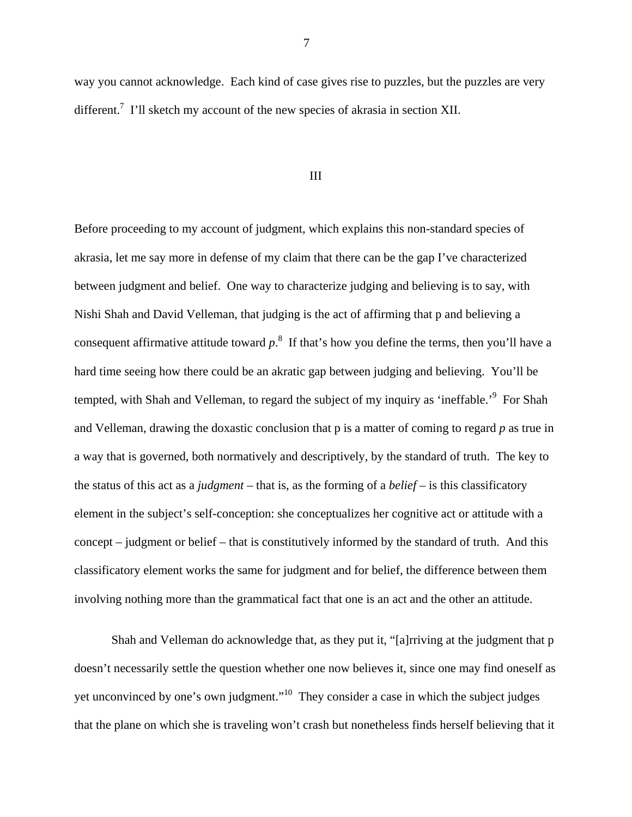way you cannot acknowledge. Each kind of case gives rise to puzzles, but the puzzles are very different.<sup>7</sup> I'll sketch my account of the new species of akrasia in section XII.

#### III

Before proceeding to my account of judgment, which explains this non-standard species of akrasia, let me say more in defense of my claim that there can be the gap I've characterized between judgment and belief. One way to characterize judging and believing is to say, with Nishi Shah and David Velleman, that judging is the act of affirming that p and believing a consequent affirmative attitude toward  $p$ <sup>8</sup>. If that's how you define the terms, then you'll have a hard time seeing how there could be an akratic gap between judging and believing. You'll be tempted, with Shah and Velleman, to regard the subject of my inquiry as 'ineffable.'<sup>9</sup> For Shah and Velleman, drawing the doxastic conclusion that p is a matter of coming to regard *p* as true in a way that is governed, both normatively and descriptively, by the standard of truth. The key to the status of this act as a *judgment* – that is, as the forming of a *belief* – is this classificatory element in the subject's self-conception: she conceptualizes her cognitive act or attitude with a concept – judgment or belief – that is constitutively informed by the standard of truth. And this classificatory element works the same for judgment and for belief, the difference between them involving nothing more than the grammatical fact that one is an act and the other an attitude.

Shah and Velleman do acknowledge that, as they put it, "[a]rriving at the judgment that p doesn't necessarily settle the question whether one now believes it, since one may find oneself as yet unconvinced by one's own judgment."10 They consider a case in which the subject judges that the plane on which she is traveling won't crash but nonetheless finds herself believing that it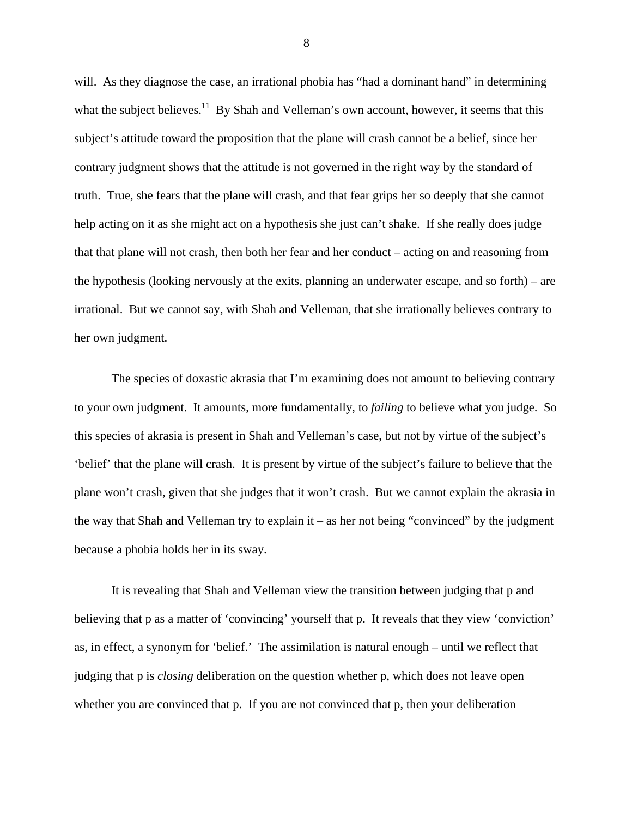will. As they diagnose the case, an irrational phobia has "had a dominant hand" in determining what the subject believes.<sup>11</sup> By Shah and Velleman's own account, however, it seems that this subject's attitude toward the proposition that the plane will crash cannot be a belief, since her contrary judgment shows that the attitude is not governed in the right way by the standard of truth. True, she fears that the plane will crash, and that fear grips her so deeply that she cannot help acting on it as she might act on a hypothesis she just can't shake. If she really does judge that that plane will not crash, then both her fear and her conduct – acting on and reasoning from the hypothesis (looking nervously at the exits, planning an underwater escape, and so forth) – are irrational. But we cannot say, with Shah and Velleman, that she irrationally believes contrary to her own judgment.

The species of doxastic akrasia that I'm examining does not amount to believing contrary to your own judgment. It amounts, more fundamentally, to *failing* to believe what you judge. So this species of akrasia is present in Shah and Velleman's case, but not by virtue of the subject's 'belief' that the plane will crash. It is present by virtue of the subject's failure to believe that the plane won't crash, given that she judges that it won't crash. But we cannot explain the akrasia in the way that Shah and Velleman try to explain it – as her not being "convinced" by the judgment because a phobia holds her in its sway.

It is revealing that Shah and Velleman view the transition between judging that p and believing that p as a matter of 'convincing' yourself that p. It reveals that they view 'conviction' as, in effect, a synonym for 'belief.' The assimilation is natural enough – until we reflect that judging that p is *closing* deliberation on the question whether p, which does not leave open whether you are convinced that p. If you are not convinced that p, then your deliberation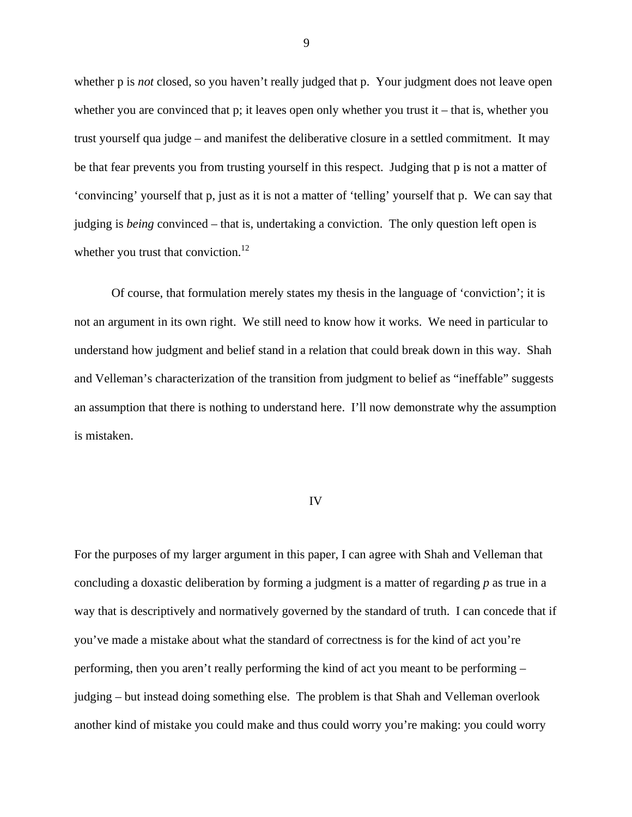whether p is *not* closed, so you haven't really judged that p. Your judgment does not leave open whether you are convinced that p; it leaves open only whether you trust it – that is, whether you trust yourself qua judge – and manifest the deliberative closure in a settled commitment. It may be that fear prevents you from trusting yourself in this respect. Judging that p is not a matter of 'convincing' yourself that p, just as it is not a matter of 'telling' yourself that p. We can say that judging is *being* convinced – that is, undertaking a conviction. The only question left open is whether you trust that conviction.<sup>12</sup>

Of course, that formulation merely states my thesis in the language of 'conviction'; it is not an argument in its own right. We still need to know how it works. We need in particular to understand how judgment and belief stand in a relation that could break down in this way. Shah and Velleman's characterization of the transition from judgment to belief as "ineffable" suggests an assumption that there is nothing to understand here. I'll now demonstrate why the assumption is mistaken.

### IV

For the purposes of my larger argument in this paper, I can agree with Shah and Velleman that concluding a doxastic deliberation by forming a judgment is a matter of regarding *p* as true in a way that is descriptively and normatively governed by the standard of truth. I can concede that if you've made a mistake about what the standard of correctness is for the kind of act you're performing, then you aren't really performing the kind of act you meant to be performing – judging – but instead doing something else. The problem is that Shah and Velleman overlook another kind of mistake you could make and thus could worry you're making: you could worry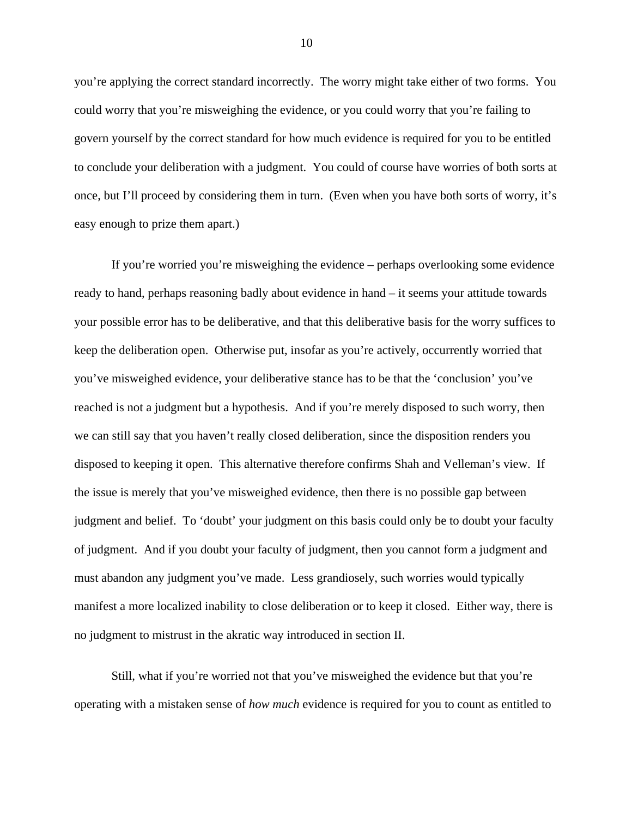you're applying the correct standard incorrectly. The worry might take either of two forms. You could worry that you're misweighing the evidence, or you could worry that you're failing to govern yourself by the correct standard for how much evidence is required for you to be entitled to conclude your deliberation with a judgment. You could of course have worries of both sorts at once, but I'll proceed by considering them in turn. (Even when you have both sorts of worry, it's easy enough to prize them apart.)

If you're worried you're misweighing the evidence – perhaps overlooking some evidence ready to hand, perhaps reasoning badly about evidence in hand – it seems your attitude towards your possible error has to be deliberative, and that this deliberative basis for the worry suffices to keep the deliberation open. Otherwise put, insofar as you're actively, occurrently worried that you've misweighed evidence, your deliberative stance has to be that the 'conclusion' you've reached is not a judgment but a hypothesis. And if you're merely disposed to such worry, then we can still say that you haven't really closed deliberation, since the disposition renders you disposed to keeping it open. This alternative therefore confirms Shah and Velleman's view. If the issue is merely that you've misweighed evidence, then there is no possible gap between judgment and belief. To 'doubt' your judgment on this basis could only be to doubt your faculty of judgment. And if you doubt your faculty of judgment, then you cannot form a judgment and must abandon any judgment you've made. Less grandiosely, such worries would typically manifest a more localized inability to close deliberation or to keep it closed. Either way, there is no judgment to mistrust in the akratic way introduced in section II.

Still, what if you're worried not that you've misweighed the evidence but that you're operating with a mistaken sense of *how much* evidence is required for you to count as entitled to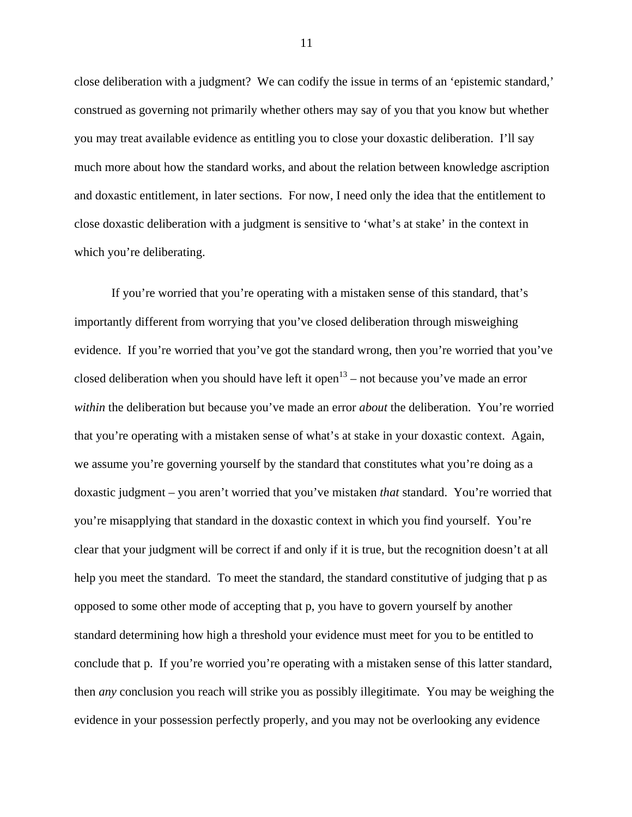close deliberation with a judgment? We can codify the issue in terms of an 'epistemic standard,' construed as governing not primarily whether others may say of you that you know but whether you may treat available evidence as entitling you to close your doxastic deliberation. I'll say much more about how the standard works, and about the relation between knowledge ascription and doxastic entitlement, in later sections. For now, I need only the idea that the entitlement to close doxastic deliberation with a judgment is sensitive to 'what's at stake' in the context in which you're deliberating.

If you're worried that you're operating with a mistaken sense of this standard, that's importantly different from worrying that you've closed deliberation through misweighing evidence. If you're worried that you've got the standard wrong, then you're worried that you've closed deliberation when you should have left it open<sup>13</sup> – not because you've made an error *within* the deliberation but because you've made an error *about* the deliberation. You're worried that you're operating with a mistaken sense of what's at stake in your doxastic context. Again, we assume you're governing yourself by the standard that constitutes what you're doing as a doxastic judgment – you aren't worried that you've mistaken *that* standard. You're worried that you're misapplying that standard in the doxastic context in which you find yourself. You're clear that your judgment will be correct if and only if it is true, but the recognition doesn't at all help you meet the standard. To meet the standard, the standard constitutive of judging that p as opposed to some other mode of accepting that p, you have to govern yourself by another standard determining how high a threshold your evidence must meet for you to be entitled to conclude that p. If you're worried you're operating with a mistaken sense of this latter standard, then *any* conclusion you reach will strike you as possibly illegitimate. You may be weighing the evidence in your possession perfectly properly, and you may not be overlooking any evidence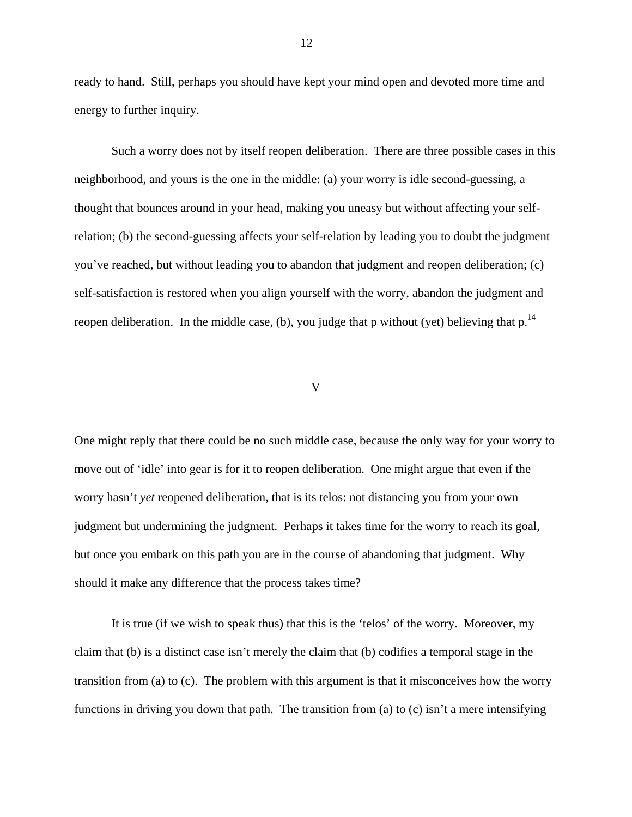ready to hand. Still, perhaps you should have kept your mind open and devoted more time and energy to further inquiry.

Such a worry does not by itself reopen deliberation. There are three possible cases in this neighborhood, and yours is the one in the middle: (a) your worry is idle second-guessing, a thought that bounces around in your head, making you uneasy but without affecting your selfrelation; (b) the second-guessing affects your self-relation by leading you to doubt the judgment you've reached, but without leading you to abandon that judgment and reopen deliberation; (c) self-satisfaction is restored when you align yourself with the worry, abandon the judgment and reopen deliberation. In the middle case, (b), you judge that p without (yet) believing that  $p<sup>14</sup>$ 

#### V

One might reply that there could be no such middle case, because the only way for your worry to move out of 'idle' into gear is for it to reopen deliberation. One might argue that even if the worry hasn't *yet* reopened deliberation, that is its telos: not distancing you from your own judgment but undermining the judgment. Perhaps it takes time for the worry to reach its goal, but once you embark on this path you are in the course of abandoning that judgment. Why should it make any difference that the process takes time?

It is true (if we wish to speak thus) that this is the 'telos' of the worry. Moreover, my claim that (b) is a distinct case isn't merely the claim that (b) codifies a temporal stage in the transition from (a) to (c). The problem with this argument is that it misconceives how the worry functions in driving you down that path. The transition from (a) to (c) isn't a mere intensifying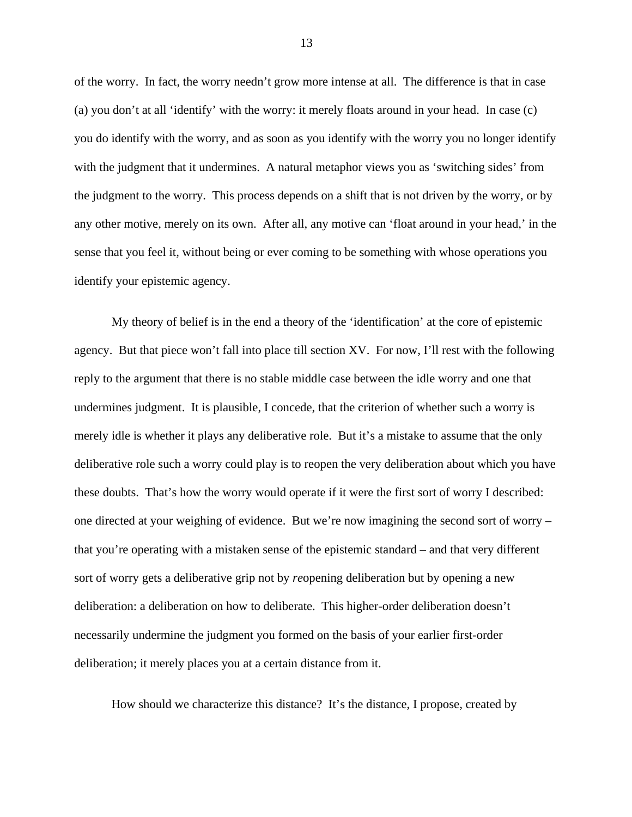of the worry. In fact, the worry needn't grow more intense at all. The difference is that in case (a) you don't at all 'identify' with the worry: it merely floats around in your head. In case (c) you do identify with the worry, and as soon as you identify with the worry you no longer identify with the judgment that it undermines. A natural metaphor views you as 'switching sides' from the judgment to the worry. This process depends on a shift that is not driven by the worry, or by any other motive, merely on its own. After all, any motive can 'float around in your head,' in the sense that you feel it, without being or ever coming to be something with whose operations you identify your epistemic agency.

My theory of belief is in the end a theory of the 'identification' at the core of epistemic agency. But that piece won't fall into place till section XV. For now, I'll rest with the following reply to the argument that there is no stable middle case between the idle worry and one that undermines judgment. It is plausible, I concede, that the criterion of whether such a worry is merely idle is whether it plays any deliberative role. But it's a mistake to assume that the only deliberative role such a worry could play is to reopen the very deliberation about which you have these doubts. That's how the worry would operate if it were the first sort of worry I described: one directed at your weighing of evidence. But we're now imagining the second sort of worry – that you're operating with a mistaken sense of the epistemic standard – and that very different sort of worry gets a deliberative grip not by *re*opening deliberation but by opening a new deliberation: a deliberation on how to deliberate. This higher-order deliberation doesn't necessarily undermine the judgment you formed on the basis of your earlier first-order deliberation; it merely places you at a certain distance from it.

How should we characterize this distance? It's the distance, I propose, created by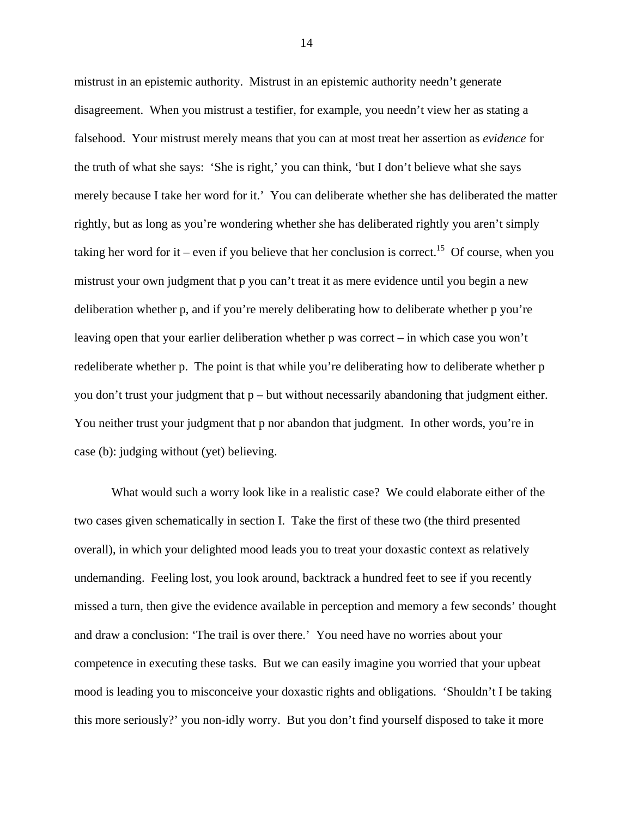mistrust in an epistemic authority. Mistrust in an epistemic authority needn't generate disagreement. When you mistrust a testifier, for example, you needn't view her as stating a falsehood. Your mistrust merely means that you can at most treat her assertion as *evidence* for the truth of what she says: 'She is right,' you can think, 'but I don't believe what she says merely because I take her word for it.' You can deliberate whether she has deliberated the matter rightly, but as long as you're wondering whether she has deliberated rightly you aren't simply taking her word for it – even if you believe that her conclusion is correct.<sup>15</sup> Of course, when you mistrust your own judgment that p you can't treat it as mere evidence until you begin a new deliberation whether p, and if you're merely deliberating how to deliberate whether p you're leaving open that your earlier deliberation whether p was correct – in which case you won't redeliberate whether p. The point is that while you're deliberating how to deliberate whether p you don't trust your judgment that  $p$  – but without necessarily abandoning that judgment either. You neither trust your judgment that p nor abandon that judgment. In other words, you're in case (b): judging without (yet) believing.

What would such a worry look like in a realistic case? We could elaborate either of the two cases given schematically in section I. Take the first of these two (the third presented overall), in which your delighted mood leads you to treat your doxastic context as relatively undemanding. Feeling lost, you look around, backtrack a hundred feet to see if you recently missed a turn, then give the evidence available in perception and memory a few seconds' thought and draw a conclusion: 'The trail is over there.' You need have no worries about your competence in executing these tasks. But we can easily imagine you worried that your upbeat mood is leading you to misconceive your doxastic rights and obligations. 'Shouldn't I be taking this more seriously?' you non-idly worry. But you don't find yourself disposed to take it more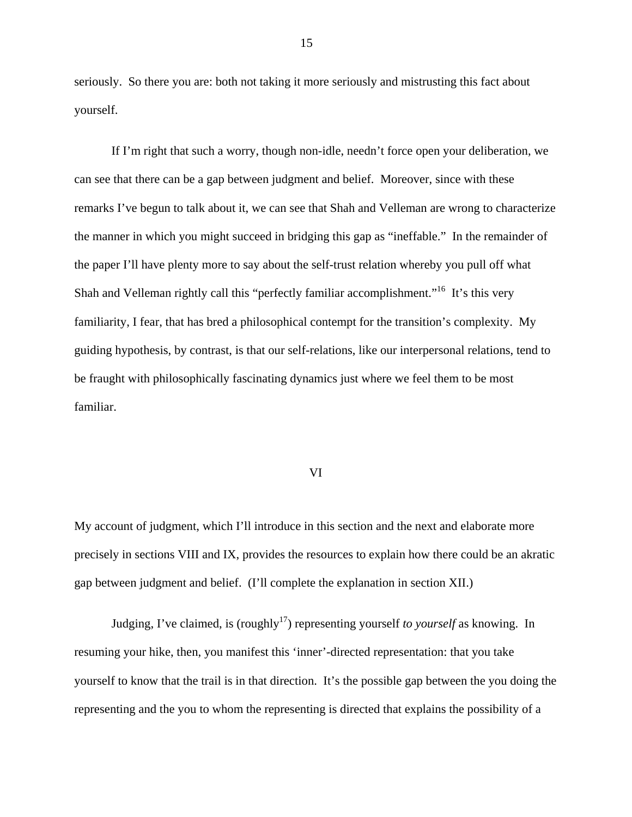seriously. So there you are: both not taking it more seriously and mistrusting this fact about yourself.

If I'm right that such a worry, though non-idle, needn't force open your deliberation, we can see that there can be a gap between judgment and belief. Moreover, since with these remarks I've begun to talk about it, we can see that Shah and Velleman are wrong to characterize the manner in which you might succeed in bridging this gap as "ineffable." In the remainder of the paper I'll have plenty more to say about the self-trust relation whereby you pull off what Shah and Velleman rightly call this "perfectly familiar accomplishment."<sup>16</sup> It's this very familiarity, I fear, that has bred a philosophical contempt for the transition's complexity. My guiding hypothesis, by contrast, is that our self-relations, like our interpersonal relations, tend to be fraught with philosophically fascinating dynamics just where we feel them to be most familiar.

#### VI

My account of judgment, which I'll introduce in this section and the next and elaborate more precisely in sections VIII and IX, provides the resources to explain how there could be an akratic gap between judgment and belief. (I'll complete the explanation in section XII.)

Judging, I've claimed, is (roughly<sup>17</sup>) representing yourself *to yourself* as knowing. In resuming your hike, then, you manifest this 'inner'-directed representation: that you take yourself to know that the trail is in that direction. It's the possible gap between the you doing the representing and the you to whom the representing is directed that explains the possibility of a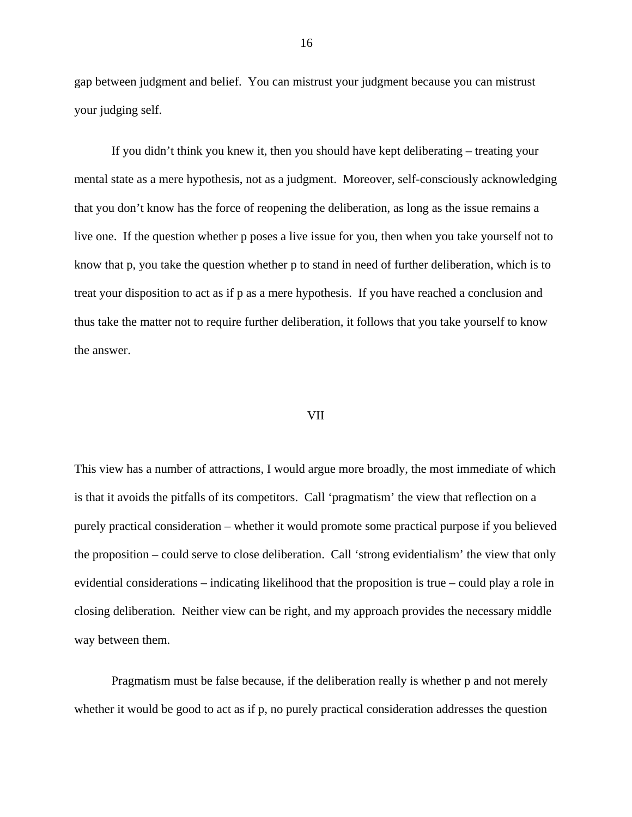gap between judgment and belief. You can mistrust your judgment because you can mistrust your judging self.

If you didn't think you knew it, then you should have kept deliberating – treating your mental state as a mere hypothesis, not as a judgment. Moreover, self-consciously acknowledging that you don't know has the force of reopening the deliberation, as long as the issue remains a live one. If the question whether p poses a live issue for you, then when you take yourself not to know that p, you take the question whether p to stand in need of further deliberation, which is to treat your disposition to act as if p as a mere hypothesis. If you have reached a conclusion and thus take the matter not to require further deliberation, it follows that you take yourself to know the answer.

#### VII

This view has a number of attractions, I would argue more broadly, the most immediate of which is that it avoids the pitfalls of its competitors. Call 'pragmatism' the view that reflection on a purely practical consideration – whether it would promote some practical purpose if you believed the proposition – could serve to close deliberation. Call 'strong evidentialism' the view that only evidential considerations – indicating likelihood that the proposition is true – could play a role in closing deliberation. Neither view can be right, and my approach provides the necessary middle way between them.

Pragmatism must be false because, if the deliberation really is whether p and not merely whether it would be good to act as if p, no purely practical consideration addresses the question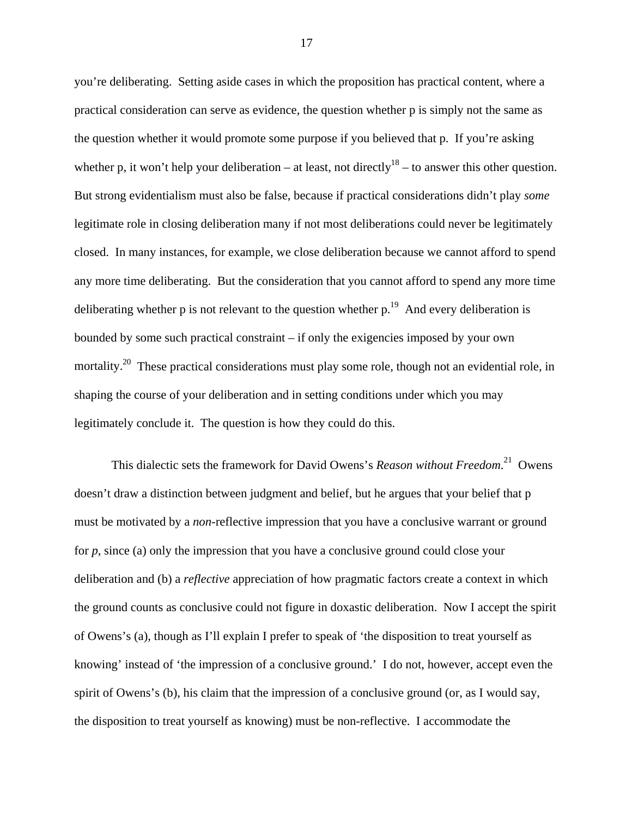you're deliberating. Setting aside cases in which the proposition has practical content, where a practical consideration can serve as evidence, the question whether p is simply not the same as the question whether it would promote some purpose if you believed that p. If you're asking whether p, it won't help your deliberation – at least, not directly<sup>18</sup> – to answer this other question. But strong evidentialism must also be false, because if practical considerations didn't play *some* legitimate role in closing deliberation many if not most deliberations could never be legitimately closed. In many instances, for example, we close deliberation because we cannot afford to spend any more time deliberating. But the consideration that you cannot afford to spend any more time deliberating whether p is not relevant to the question whether  $p<sup>19</sup>$ . And every deliberation is bounded by some such practical constraint – if only the exigencies imposed by your own mortality.<sup>20</sup> These practical considerations must play some role, though not an evidential role, in shaping the course of your deliberation and in setting conditions under which you may legitimately conclude it. The question is how they could do this.

This dialectic sets the framework for David Owens's *Reason without Freedom*. 21 Owens doesn't draw a distinction between judgment and belief, but he argues that your belief that p must be motivated by a *non*-reflective impression that you have a conclusive warrant or ground for *p*, since (a) only the impression that you have a conclusive ground could close your deliberation and (b) a *reflective* appreciation of how pragmatic factors create a context in which the ground counts as conclusive could not figure in doxastic deliberation. Now I accept the spirit of Owens's (a), though as I'll explain I prefer to speak of 'the disposition to treat yourself as knowing' instead of 'the impression of a conclusive ground.' I do not, however, accept even the spirit of Owens's (b), his claim that the impression of a conclusive ground (or, as I would say, the disposition to treat yourself as knowing) must be non-reflective. I accommodate the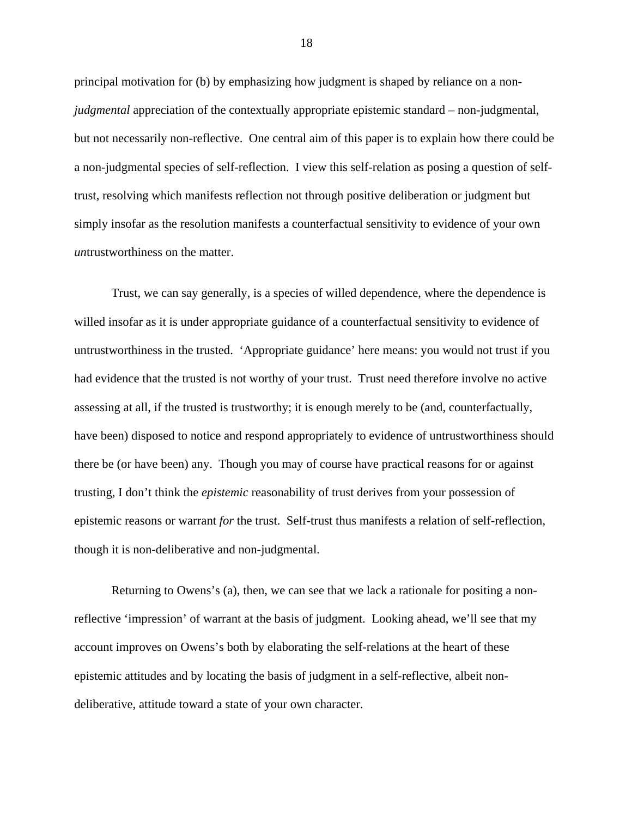principal motivation for (b) by emphasizing how judgment is shaped by reliance on a non*judgmental* appreciation of the contextually appropriate epistemic standard – non-judgmental, but not necessarily non-reflective. One central aim of this paper is to explain how there could be a non-judgmental species of self-reflection. I view this self-relation as posing a question of selftrust, resolving which manifests reflection not through positive deliberation or judgment but simply insofar as the resolution manifests a counterfactual sensitivity to evidence of your own *un*trustworthiness on the matter.

Trust, we can say generally, is a species of willed dependence, where the dependence is willed insofar as it is under appropriate guidance of a counterfactual sensitivity to evidence of untrustworthiness in the trusted. 'Appropriate guidance' here means: you would not trust if you had evidence that the trusted is not worthy of your trust. Trust need therefore involve no active assessing at all, if the trusted is trustworthy; it is enough merely to be (and, counterfactually, have been) disposed to notice and respond appropriately to evidence of untrustworthiness should there be (or have been) any. Though you may of course have practical reasons for or against trusting, I don't think the *epistemic* reasonability of trust derives from your possession of epistemic reasons or warrant *for* the trust. Self-trust thus manifests a relation of self-reflection, though it is non-deliberative and non-judgmental.

Returning to Owens's (a), then, we can see that we lack a rationale for positing a nonreflective 'impression' of warrant at the basis of judgment. Looking ahead, we'll see that my account improves on Owens's both by elaborating the self-relations at the heart of these epistemic attitudes and by locating the basis of judgment in a self-reflective, albeit nondeliberative, attitude toward a state of your own character.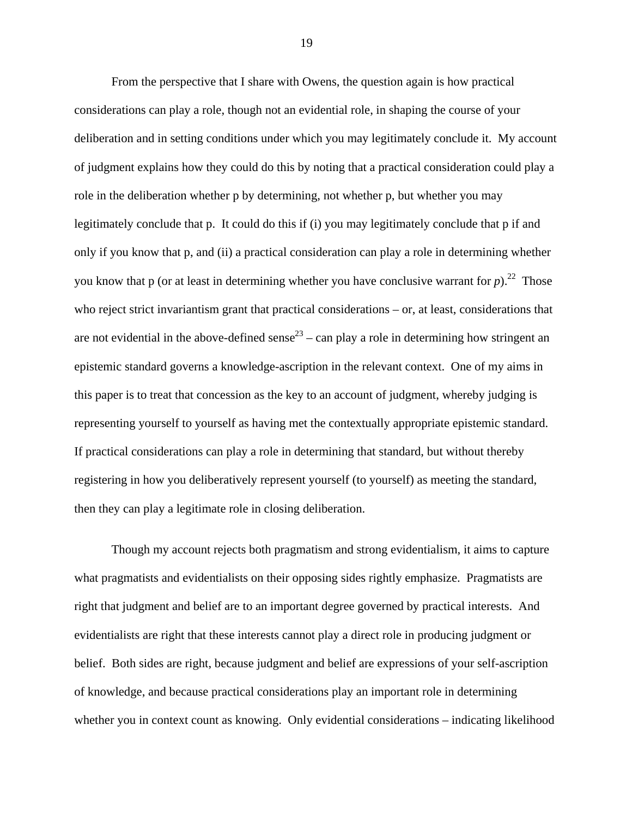From the perspective that I share with Owens, the question again is how practical considerations can play a role, though not an evidential role, in shaping the course of your deliberation and in setting conditions under which you may legitimately conclude it. My account of judgment explains how they could do this by noting that a practical consideration could play a role in the deliberation whether p by determining, not whether p, but whether you may legitimately conclude that p. It could do this if (i) you may legitimately conclude that p if and only if you know that p, and (ii) a practical consideration can play a role in determining whether you know that p (or at least in determining whether you have conclusive warrant for  $p$ ).<sup>22</sup> Those who reject strict invariantism grant that practical considerations – or, at least, considerations that are not evidential in the above-defined sense<sup>23</sup> – can play a role in determining how stringent an epistemic standard governs a knowledge-ascription in the relevant context. One of my aims in this paper is to treat that concession as the key to an account of judgment, whereby judging is representing yourself to yourself as having met the contextually appropriate epistemic standard. If practical considerations can play a role in determining that standard, but without thereby registering in how you deliberatively represent yourself (to yourself) as meeting the standard, then they can play a legitimate role in closing deliberation.

Though my account rejects both pragmatism and strong evidentialism, it aims to capture what pragmatists and evidentialists on their opposing sides rightly emphasize. Pragmatists are right that judgment and belief are to an important degree governed by practical interests. And evidentialists are right that these interests cannot play a direct role in producing judgment or belief. Both sides are right, because judgment and belief are expressions of your self-ascription of knowledge, and because practical considerations play an important role in determining whether you in context count as knowing. Only evidential considerations – indicating likelihood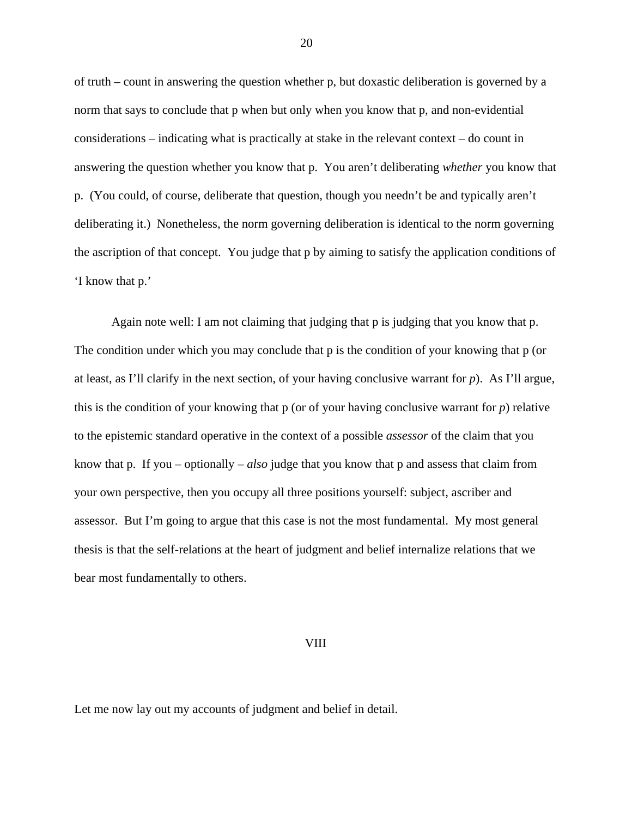of truth – count in answering the question whether p, but doxastic deliberation is governed by a norm that says to conclude that p when but only when you know that p, and non-evidential considerations – indicating what is practically at stake in the relevant context – do count in answering the question whether you know that p. You aren't deliberating *whether* you know that p. (You could, of course, deliberate that question, though you needn't be and typically aren't deliberating it.) Nonetheless, the norm governing deliberation is identical to the norm governing the ascription of that concept. You judge that p by aiming to satisfy the application conditions of 'I know that p.'

Again note well: I am not claiming that judging that p is judging that you know that p. The condition under which you may conclude that p is the condition of your knowing that p (or at least, as I'll clarify in the next section, of your having conclusive warrant for *p*). As I'll argue, this is the condition of your knowing that p (or of your having conclusive warrant for *p*) relative to the epistemic standard operative in the context of a possible *assessor* of the claim that you know that p. If you – optionally – *also* judge that you know that p and assess that claim from your own perspective, then you occupy all three positions yourself: subject, ascriber and assessor. But I'm going to argue that this case is not the most fundamental. My most general thesis is that the self-relations at the heart of judgment and belief internalize relations that we bear most fundamentally to others.

#### VIII

Let me now lay out my accounts of judgment and belief in detail.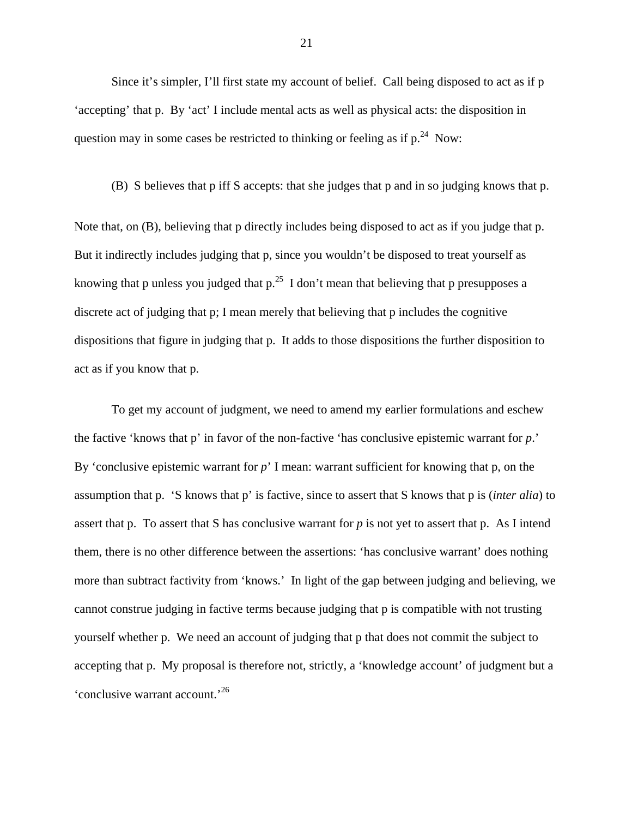Since it's simpler, I'll first state my account of belief. Call being disposed to act as if p 'accepting' that p. By 'act' I include mental acts as well as physical acts: the disposition in question may in some cases be restricted to thinking or feeling as if  $p^{24}$  Now:

(B) S believes that p iff S accepts: that she judges that p and in so judging knows that p.

Note that, on (B), believing that p directly includes being disposed to act as if you judge that p. But it indirectly includes judging that p, since you wouldn't be disposed to treat yourself as knowing that p unless you judged that  $p^{25}$  I don't mean that believing that p presupposes a discrete act of judging that p; I mean merely that believing that p includes the cognitive dispositions that figure in judging that p. It adds to those dispositions the further disposition to act as if you know that p.

To get my account of judgment, we need to amend my earlier formulations and eschew the factive 'knows that p' in favor of the non-factive 'has conclusive epistemic warrant for *p*.' By 'conclusive epistemic warrant for *p*' I mean: warrant sufficient for knowing that p, on the assumption that p. 'S knows that p' is factive, since to assert that S knows that p is (*inter alia*) to assert that p. To assert that S has conclusive warrant for *p* is not yet to assert that p. As I intend them, there is no other difference between the assertions: 'has conclusive warrant' does nothing more than subtract factivity from 'knows.' In light of the gap between judging and believing, we cannot construe judging in factive terms because judging that p is compatible with not trusting yourself whether p. We need an account of judging that p that does not commit the subject to accepting that p. My proposal is therefore not, strictly, a 'knowledge account' of judgment but a 'conclusive warrant account.'<sup>26</sup>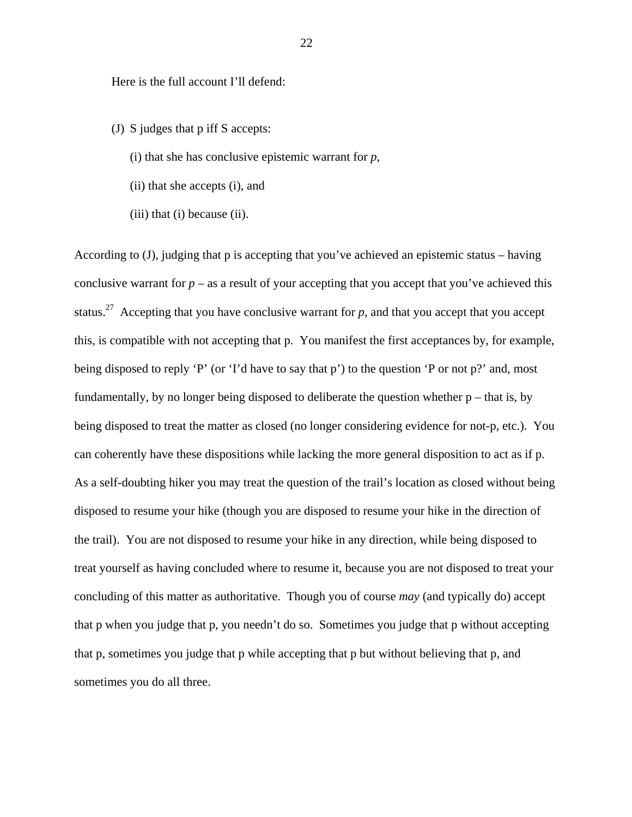Here is the full account I'll defend:

- (J) S judges that p iff S accepts:
	- (i) that she has conclusive epistemic warrant for *p*,
	- (ii) that she accepts (i), and
	- $(iii)$  that  $(i)$  because  $(ii)$ .

According to (J), judging that p is accepting that you've achieved an epistemic status – having conclusive warrant for  $p -$  as a result of your accepting that you accept that you've achieved this status.<sup>27</sup> Accepting that you have conclusive warrant for  $p$ , and that you accept that you accept this, is compatible with not accepting that p. You manifest the first acceptances by, for example, being disposed to reply 'P' (or 'I'd have to say that p') to the question 'P or not p?' and, most fundamentally, by no longer being disposed to deliberate the question whether  $p$  – that is, by being disposed to treat the matter as closed (no longer considering evidence for not-p, etc.). You can coherently have these dispositions while lacking the more general disposition to act as if p. As a self-doubting hiker you may treat the question of the trail's location as closed without being disposed to resume your hike (though you are disposed to resume your hike in the direction of the trail). You are not disposed to resume your hike in any direction, while being disposed to treat yourself as having concluded where to resume it, because you are not disposed to treat your concluding of this matter as authoritative. Though you of course *may* (and typically do) accept that p when you judge that p, you needn't do so. Sometimes you judge that p without accepting that p, sometimes you judge that p while accepting that p but without believing that p, and sometimes you do all three.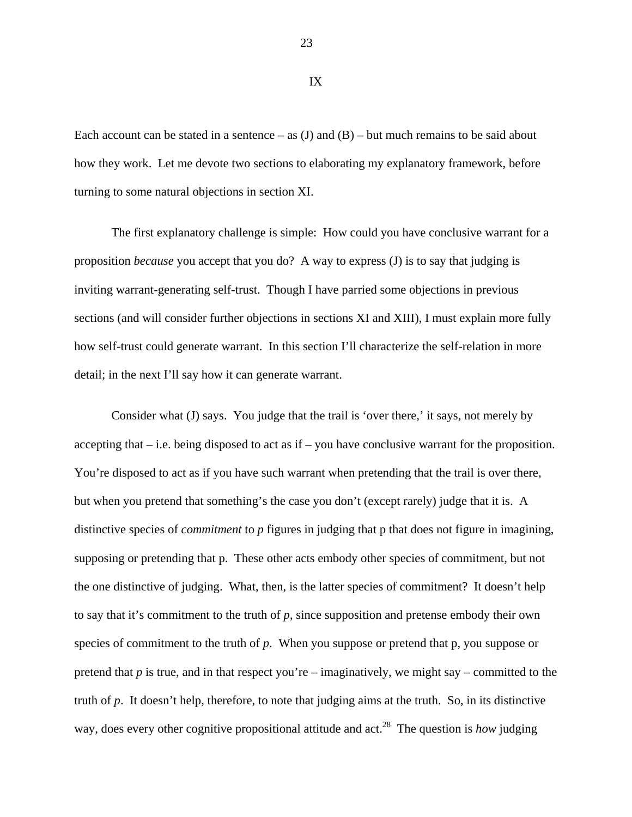Each account can be stated in a sentence – as  $(J)$  and  $(B)$  – but much remains to be said about how they work. Let me devote two sections to elaborating my explanatory framework, before turning to some natural objections in section XI.

The first explanatory challenge is simple: How could you have conclusive warrant for a proposition *because* you accept that you do? A way to express (J) is to say that judging is inviting warrant-generating self-trust. Though I have parried some objections in previous sections (and will consider further objections in sections XI and XIII), I must explain more fully how self-trust could generate warrant. In this section I'll characterize the self-relation in more detail; in the next I'll say how it can generate warrant.

Consider what (J) says. You judge that the trail is 'over there,' it says, not merely by accepting that  $-$  i.e. being disposed to act as if  $-$  you have conclusive warrant for the proposition. You're disposed to act as if you have such warrant when pretending that the trail is over there, but when you pretend that something's the case you don't (except rarely) judge that it is. A distinctive species of *commitment* to *p* figures in judging that p that does not figure in imagining, supposing or pretending that p. These other acts embody other species of commitment, but not the one distinctive of judging. What, then, is the latter species of commitment? It doesn't help to say that it's commitment to the truth of *p*, since supposition and pretense embody their own species of commitment to the truth of *p*. When you suppose or pretend that p, you suppose or pretend that *p* is true, and in that respect you're – imaginatively, we might say – committed to the truth of *p*. It doesn't help, therefore, to note that judging aims at the truth. So, in its distinctive way, does every other cognitive propositional attitude and act.<sup>28</sup> The question is *how* judging

23

IX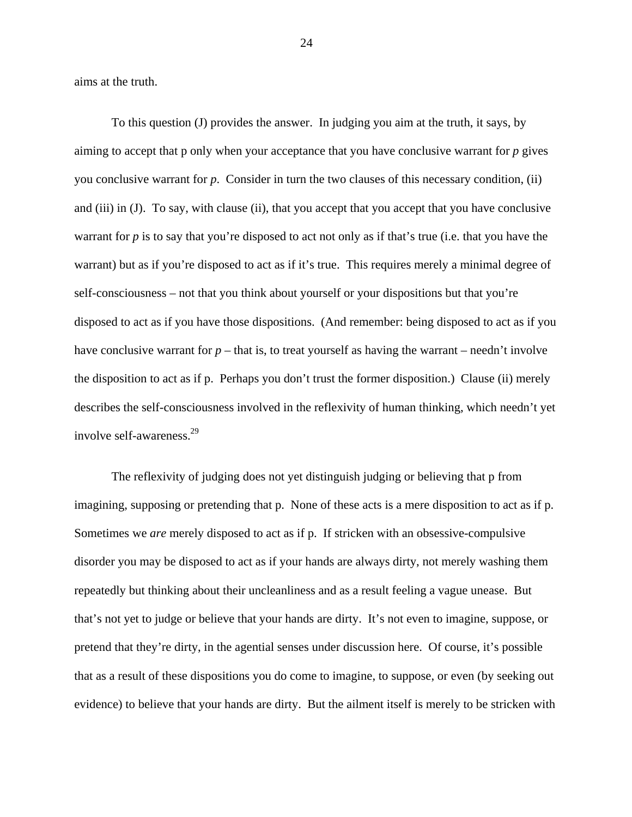aims at the truth.

To this question (J) provides the answer. In judging you aim at the truth, it says, by aiming to accept that p only when your acceptance that you have conclusive warrant for *p* gives you conclusive warrant for *p*. Consider in turn the two clauses of this necessary condition, (ii) and (iii) in (J). To say, with clause (ii), that you accept that you accept that you have conclusive warrant for *p* is to say that you're disposed to act not only as if that's true (i.e. that you have the warrant) but as if you're disposed to act as if it's true. This requires merely a minimal degree of self-consciousness – not that you think about yourself or your dispositions but that you're disposed to act as if you have those dispositions. (And remember: being disposed to act as if you have conclusive warrant for  $p$  – that is, to treat yourself as having the warrant – needn't involve the disposition to act as if p. Perhaps you don't trust the former disposition.) Clause (ii) merely describes the self-consciousness involved in the reflexivity of human thinking, which needn't yet involve self-awareness.29

The reflexivity of judging does not yet distinguish judging or believing that p from imagining, supposing or pretending that p. None of these acts is a mere disposition to act as if p. Sometimes we *are* merely disposed to act as if p. If stricken with an obsessive-compulsive disorder you may be disposed to act as if your hands are always dirty, not merely washing them repeatedly but thinking about their uncleanliness and as a result feeling a vague unease. But that's not yet to judge or believe that your hands are dirty. It's not even to imagine, suppose, or pretend that they're dirty, in the agential senses under discussion here. Of course, it's possible that as a result of these dispositions you do come to imagine, to suppose, or even (by seeking out evidence) to believe that your hands are dirty. But the ailment itself is merely to be stricken with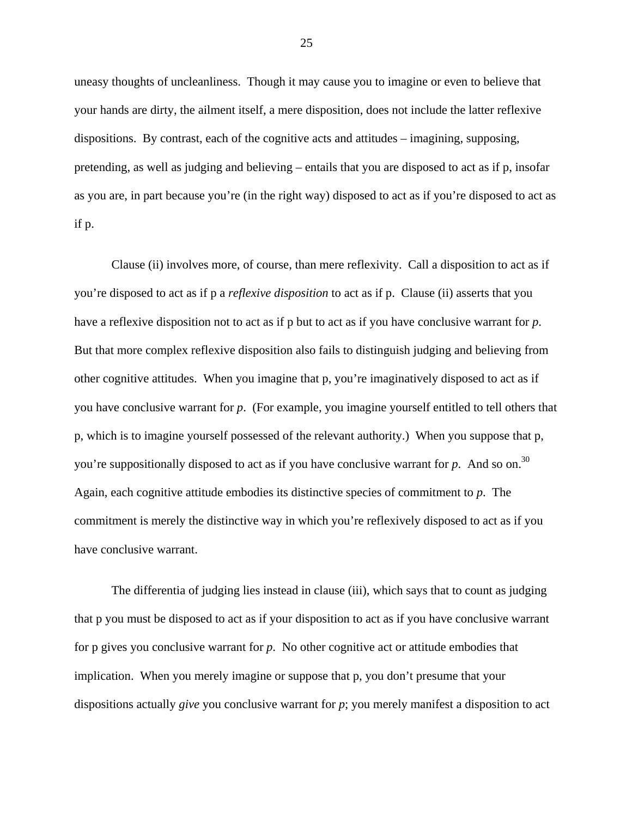uneasy thoughts of uncleanliness. Though it may cause you to imagine or even to believe that your hands are dirty, the ailment itself, a mere disposition, does not include the latter reflexive dispositions. By contrast, each of the cognitive acts and attitudes – imagining, supposing, pretending, as well as judging and believing – entails that you are disposed to act as if p, insofar as you are, in part because you're (in the right way) disposed to act as if you're disposed to act as if p.

Clause (ii) involves more, of course, than mere reflexivity. Call a disposition to act as if you're disposed to act as if p a *reflexive disposition* to act as if p. Clause (ii) asserts that you have a reflexive disposition not to act as if p but to act as if you have conclusive warrant for *p*. But that more complex reflexive disposition also fails to distinguish judging and believing from other cognitive attitudes. When you imagine that p, you're imaginatively disposed to act as if you have conclusive warrant for *p*. (For example, you imagine yourself entitled to tell others that p, which is to imagine yourself possessed of the relevant authority.) When you suppose that p, you're suppositionally disposed to act as if you have conclusive warrant for  $p$ . And so on.<sup>30</sup> Again, each cognitive attitude embodies its distinctive species of commitment to *p*. The commitment is merely the distinctive way in which you're reflexively disposed to act as if you have conclusive warrant.

The differentia of judging lies instead in clause (iii), which says that to count as judging that p you must be disposed to act as if your disposition to act as if you have conclusive warrant for p gives you conclusive warrant for *p*. No other cognitive act or attitude embodies that implication. When you merely imagine or suppose that p, you don't presume that your dispositions actually *give* you conclusive warrant for *p*; you merely manifest a disposition to act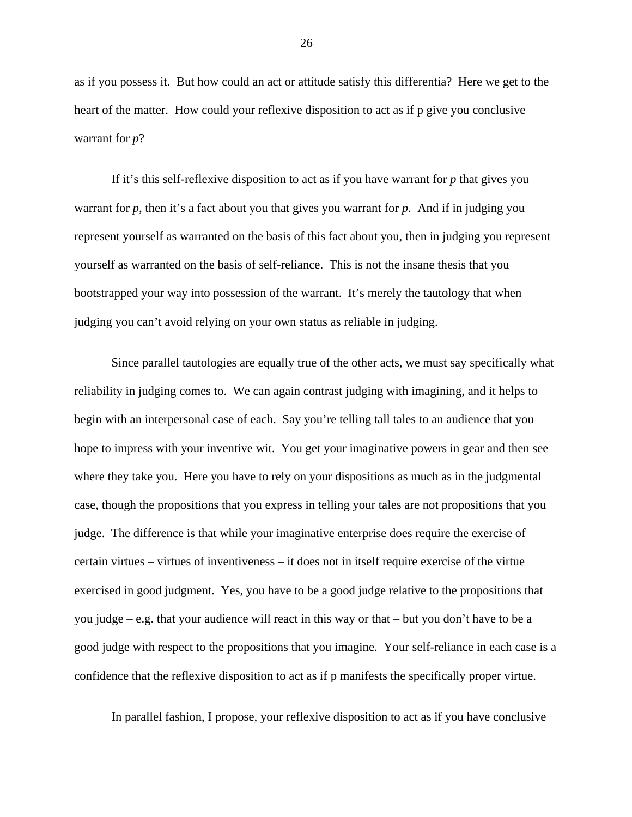as if you possess it. But how could an act or attitude satisfy this differentia? Here we get to the heart of the matter. How could your reflexive disposition to act as if p give you conclusive warrant for *p*?

If it's this self-reflexive disposition to act as if you have warrant for *p* that gives you warrant for *p*, then it's a fact about you that gives you warrant for *p*. And if in judging you represent yourself as warranted on the basis of this fact about you, then in judging you represent yourself as warranted on the basis of self-reliance. This is not the insane thesis that you bootstrapped your way into possession of the warrant. It's merely the tautology that when judging you can't avoid relying on your own status as reliable in judging.

Since parallel tautologies are equally true of the other acts, we must say specifically what reliability in judging comes to. We can again contrast judging with imagining, and it helps to begin with an interpersonal case of each. Say you're telling tall tales to an audience that you hope to impress with your inventive wit. You get your imaginative powers in gear and then see where they take you. Here you have to rely on your dispositions as much as in the judgmental case, though the propositions that you express in telling your tales are not propositions that you judge. The difference is that while your imaginative enterprise does require the exercise of certain virtues – virtues of inventiveness – it does not in itself require exercise of the virtue exercised in good judgment. Yes, you have to be a good judge relative to the propositions that you judge – e.g. that your audience will react in this way or that – but you don't have to be a good judge with respect to the propositions that you imagine. Your self-reliance in each case is a confidence that the reflexive disposition to act as if p manifests the specifically proper virtue.

In parallel fashion, I propose, your reflexive disposition to act as if you have conclusive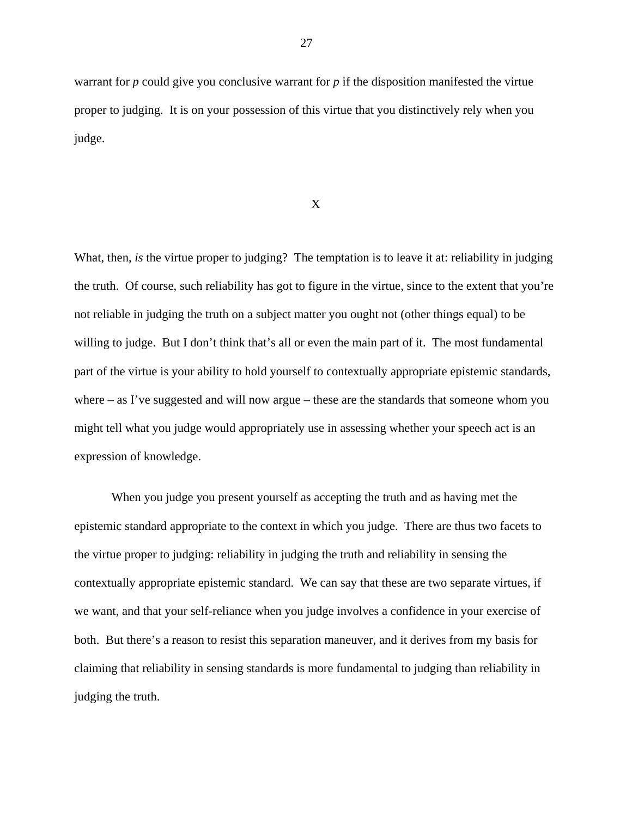warrant for *p* could give you conclusive warrant for *p* if the disposition manifested the virtue proper to judging. It is on your possession of this virtue that you distinctively rely when you judge.

X

What, then, *is* the virtue proper to judging? The temptation is to leave it at: reliability in judging the truth. Of course, such reliability has got to figure in the virtue, since to the extent that you're not reliable in judging the truth on a subject matter you ought not (other things equal) to be willing to judge. But I don't think that's all or even the main part of it. The most fundamental part of the virtue is your ability to hold yourself to contextually appropriate epistemic standards, where – as I've suggested and will now argue – these are the standards that someone whom you might tell what you judge would appropriately use in assessing whether your speech act is an expression of knowledge.

When you judge you present yourself as accepting the truth and as having met the epistemic standard appropriate to the context in which you judge. There are thus two facets to the virtue proper to judging: reliability in judging the truth and reliability in sensing the contextually appropriate epistemic standard. We can say that these are two separate virtues, if we want, and that your self-reliance when you judge involves a confidence in your exercise of both. But there's a reason to resist this separation maneuver, and it derives from my basis for claiming that reliability in sensing standards is more fundamental to judging than reliability in judging the truth.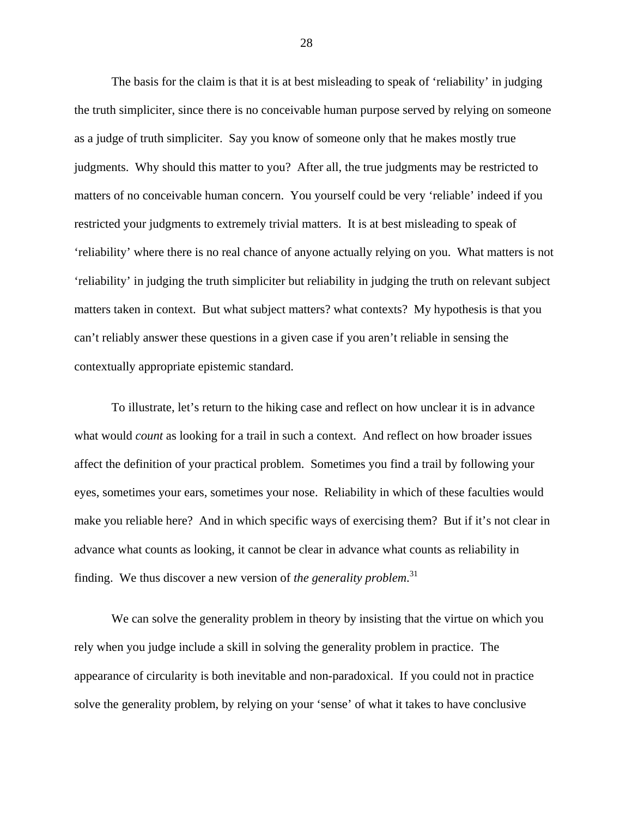The basis for the claim is that it is at best misleading to speak of 'reliability' in judging the truth simpliciter, since there is no conceivable human purpose served by relying on someone as a judge of truth simpliciter. Say you know of someone only that he makes mostly true judgments. Why should this matter to you? After all, the true judgments may be restricted to matters of no conceivable human concern. You yourself could be very 'reliable' indeed if you restricted your judgments to extremely trivial matters. It is at best misleading to speak of 'reliability' where there is no real chance of anyone actually relying on you. What matters is not 'reliability' in judging the truth simpliciter but reliability in judging the truth on relevant subject matters taken in context. But what subject matters? what contexts? My hypothesis is that you can't reliably answer these questions in a given case if you aren't reliable in sensing the contextually appropriate epistemic standard.

To illustrate, let's return to the hiking case and reflect on how unclear it is in advance what would *count* as looking for a trail in such a context. And reflect on how broader issues affect the definition of your practical problem. Sometimes you find a trail by following your eyes, sometimes your ears, sometimes your nose. Reliability in which of these faculties would make you reliable here? And in which specific ways of exercising them? But if it's not clear in advance what counts as looking, it cannot be clear in advance what counts as reliability in finding. We thus discover a new version of *the generality problem*. 31

We can solve the generality problem in theory by insisting that the virtue on which you rely when you judge include a skill in solving the generality problem in practice. The appearance of circularity is both inevitable and non-paradoxical. If you could not in practice solve the generality problem, by relying on your 'sense' of what it takes to have conclusive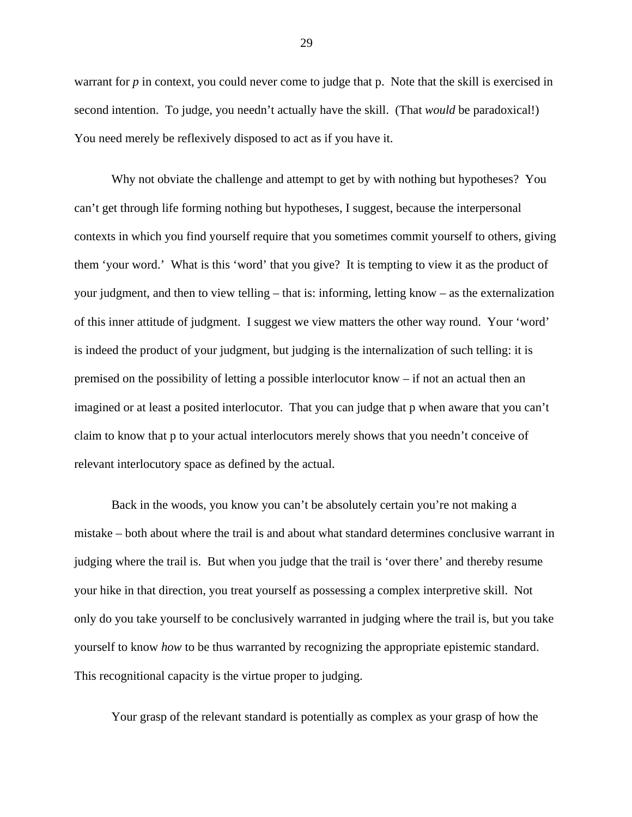warrant for *p* in context, you could never come to judge that *p*. Note that the skill is exercised in second intention. To judge, you needn't actually have the skill. (That *would* be paradoxical!) You need merely be reflexively disposed to act as if you have it.

Why not obviate the challenge and attempt to get by with nothing but hypotheses? You can't get through life forming nothing but hypotheses, I suggest, because the interpersonal contexts in which you find yourself require that you sometimes commit yourself to others, giving them 'your word.' What is this 'word' that you give? It is tempting to view it as the product of your judgment, and then to view telling – that is: informing, letting know – as the externalization of this inner attitude of judgment. I suggest we view matters the other way round. Your 'word' is indeed the product of your judgment, but judging is the internalization of such telling: it is premised on the possibility of letting a possible interlocutor know – if not an actual then an imagined or at least a posited interlocutor. That you can judge that p when aware that you can't claim to know that p to your actual interlocutors merely shows that you needn't conceive of relevant interlocutory space as defined by the actual.

Back in the woods, you know you can't be absolutely certain you're not making a mistake – both about where the trail is and about what standard determines conclusive warrant in judging where the trail is. But when you judge that the trail is 'over there' and thereby resume your hike in that direction, you treat yourself as possessing a complex interpretive skill. Not only do you take yourself to be conclusively warranted in judging where the trail is, but you take yourself to know *how* to be thus warranted by recognizing the appropriate epistemic standard. This recognitional capacity is the virtue proper to judging.

Your grasp of the relevant standard is potentially as complex as your grasp of how the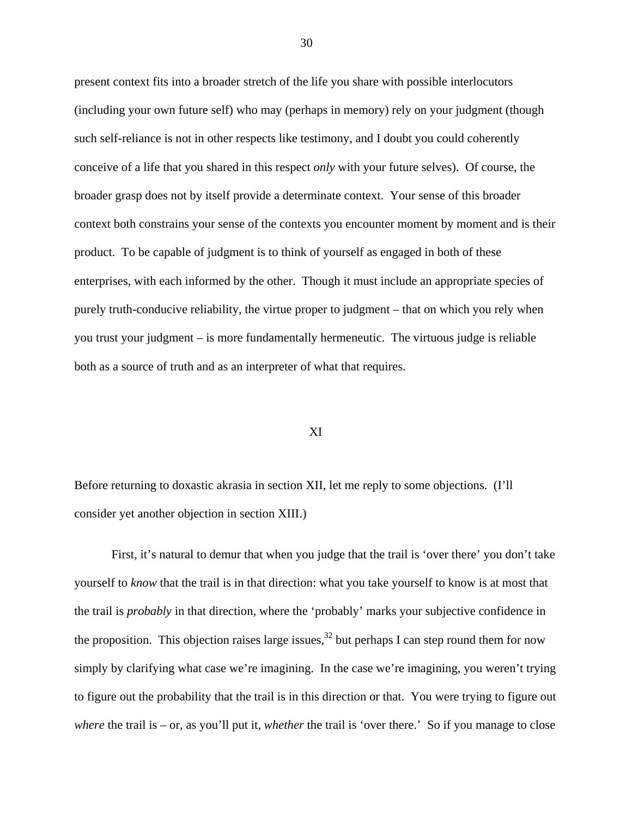present context fits into a broader stretch of the life you share with possible interlocutors (including your own future self) who may (perhaps in memory) rely on your judgment (though such self-reliance is not in other respects like testimony, and I doubt you could coherently conceive of a life that you shared in this respect *only* with your future selves). Of course, the broader grasp does not by itself provide a determinate context. Your sense of this broader context both constrains your sense of the contexts you encounter moment by moment and is their product. To be capable of judgment is to think of yourself as engaged in both of these enterprises, with each informed by the other. Though it must include an appropriate species of purely truth-conducive reliability, the virtue proper to judgment – that on which you rely when you trust your judgment – is more fundamentally hermeneutic. The virtuous judge is reliable both as a source of truth and as an interpreter of what that requires.

## XI

Before returning to doxastic akrasia in section XII, let me reply to some objections. (I'll consider yet another objection in section XIII.)

First, it's natural to demur that when you judge that the trail is 'over there' you don't take yourself to *know* that the trail is in that direction: what you take yourself to know is at most that the trail is *probably* in that direction, where the 'probably' marks your subjective confidence in the proposition. This objection raises large issues,<sup>32</sup> but perhaps I can step round them for now simply by clarifying what case we're imagining. In the case we're imagining, you weren't trying to figure out the probability that the trail is in this direction or that. You were trying to figure out *where* the trail is – or, as you'll put it, *whether* the trail is 'over there.' So if you manage to close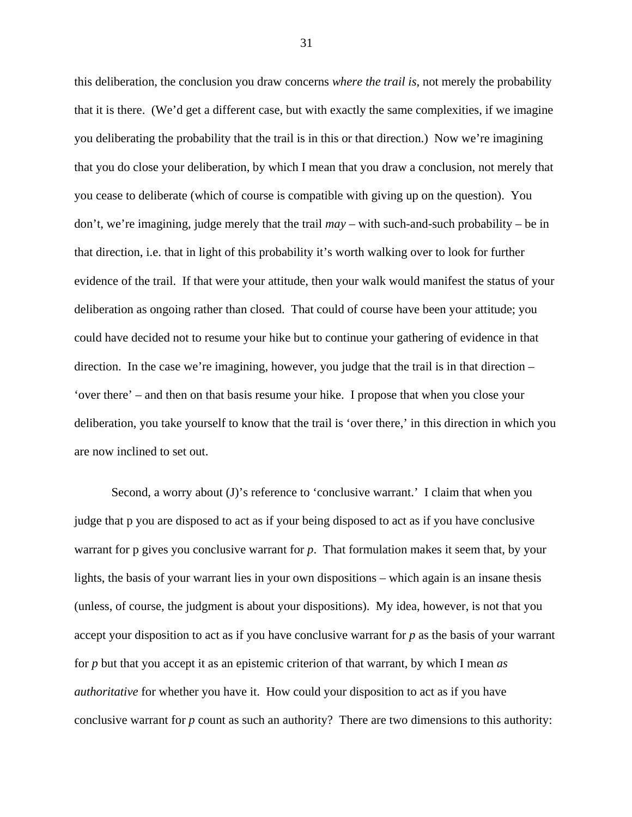this deliberation, the conclusion you draw concerns *where the trail is*, not merely the probability that it is there. (We'd get a different case, but with exactly the same complexities, if we imagine you deliberating the probability that the trail is in this or that direction.) Now we're imagining that you do close your deliberation, by which I mean that you draw a conclusion, not merely that you cease to deliberate (which of course is compatible with giving up on the question). You don't, we're imagining, judge merely that the trail *may* – with such-and-such probability – be in that direction, i.e. that in light of this probability it's worth walking over to look for further evidence of the trail. If that were your attitude, then your walk would manifest the status of your deliberation as ongoing rather than closed. That could of course have been your attitude; you could have decided not to resume your hike but to continue your gathering of evidence in that direction. In the case we're imagining, however, you judge that the trail is in that direction – 'over there' – and then on that basis resume your hike. I propose that when you close your deliberation, you take yourself to know that the trail is 'over there,' in this direction in which you are now inclined to set out.

Second, a worry about (J)'s reference to 'conclusive warrant.' I claim that when you judge that p you are disposed to act as if your being disposed to act as if you have conclusive warrant for p gives you conclusive warrant for *p*. That formulation makes it seem that, by your lights, the basis of your warrant lies in your own dispositions – which again is an insane thesis (unless, of course, the judgment is about your dispositions). My idea, however, is not that you accept your disposition to act as if you have conclusive warrant for *p* as the basis of your warrant for *p* but that you accept it as an epistemic criterion of that warrant, by which I mean *as authoritative* for whether you have it. How could your disposition to act as if you have conclusive warrant for *p* count as such an authority? There are two dimensions to this authority: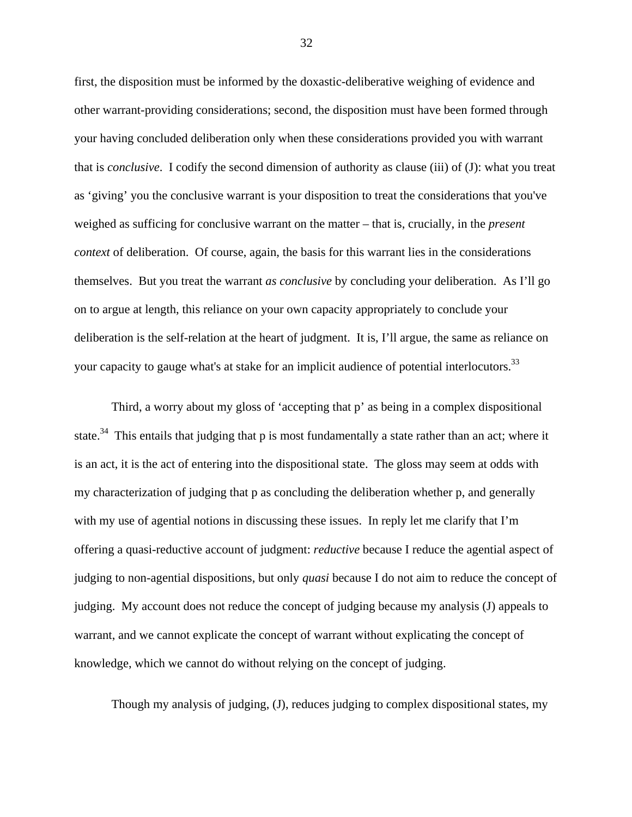first, the disposition must be informed by the doxastic-deliberative weighing of evidence and other warrant-providing considerations; second, the disposition must have been formed through your having concluded deliberation only when these considerations provided you with warrant that is *conclusive*. I codify the second dimension of authority as clause (iii) of (J): what you treat as 'giving' you the conclusive warrant is your disposition to treat the considerations that you've weighed as sufficing for conclusive warrant on the matter – that is, crucially, in the *present context* of deliberation. Of course, again, the basis for this warrant lies in the considerations themselves. But you treat the warrant *as conclusive* by concluding your deliberation. As I'll go on to argue at length, this reliance on your own capacity appropriately to conclude your deliberation is the self-relation at the heart of judgment. It is, I'll argue, the same as reliance on your capacity to gauge what's at stake for an implicit audience of potential interlocutors.<sup>33</sup>

Third, a worry about my gloss of 'accepting that p' as being in a complex dispositional state.<sup>34</sup> This entails that judging that p is most fundamentally a state rather than an act; where it is an act, it is the act of entering into the dispositional state. The gloss may seem at odds with my characterization of judging that p as concluding the deliberation whether p, and generally with my use of agential notions in discussing these issues. In reply let me clarify that I'm offering a quasi-reductive account of judgment: *reductive* because I reduce the agential aspect of judging to non-agential dispositions, but only *quasi* because I do not aim to reduce the concept of judging. My account does not reduce the concept of judging because my analysis (J) appeals to warrant, and we cannot explicate the concept of warrant without explicating the concept of knowledge, which we cannot do without relying on the concept of judging.

Though my analysis of judging, (J), reduces judging to complex dispositional states, my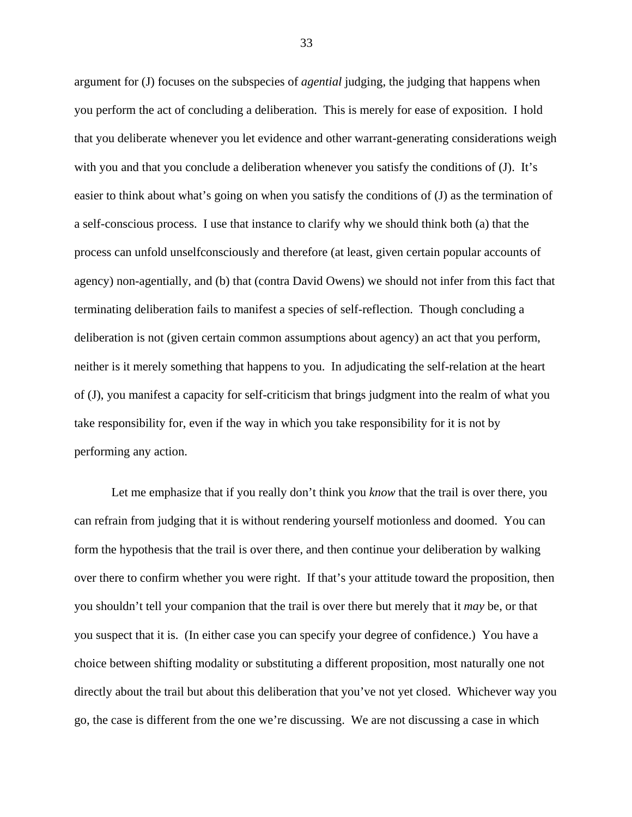argument for (J) focuses on the subspecies of *agential* judging, the judging that happens when you perform the act of concluding a deliberation. This is merely for ease of exposition. I hold that you deliberate whenever you let evidence and other warrant-generating considerations weigh with you and that you conclude a deliberation whenever you satisfy the conditions of (J). It's easier to think about what's going on when you satisfy the conditions of (J) as the termination of a self-conscious process. I use that instance to clarify why we should think both (a) that the process can unfold unselfconsciously and therefore (at least, given certain popular accounts of agency) non-agentially, and (b) that (contra David Owens) we should not infer from this fact that terminating deliberation fails to manifest a species of self-reflection. Though concluding a deliberation is not (given certain common assumptions about agency) an act that you perform, neither is it merely something that happens to you. In adjudicating the self-relation at the heart of (J), you manifest a capacity for self-criticism that brings judgment into the realm of what you take responsibility for, even if the way in which you take responsibility for it is not by performing any action.

Let me emphasize that if you really don't think you *know* that the trail is over there, you can refrain from judging that it is without rendering yourself motionless and doomed. You can form the hypothesis that the trail is over there, and then continue your deliberation by walking over there to confirm whether you were right. If that's your attitude toward the proposition, then you shouldn't tell your companion that the trail is over there but merely that it *may* be, or that you suspect that it is. (In either case you can specify your degree of confidence.) You have a choice between shifting modality or substituting a different proposition, most naturally one not directly about the trail but about this deliberation that you've not yet closed. Whichever way you go, the case is different from the one we're discussing. We are not discussing a case in which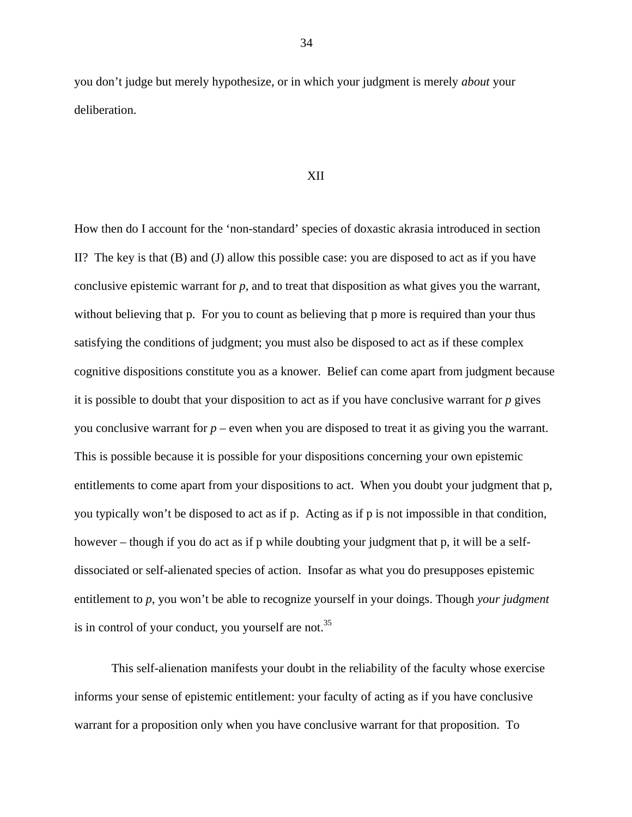you don't judge but merely hypothesize, or in which your judgment is merely *about* your deliberation.

#### XII

How then do I account for the 'non-standard' species of doxastic akrasia introduced in section II? The key is that (B) and (J) allow this possible case: you are disposed to act as if you have conclusive epistemic warrant for *p*, and to treat that disposition as what gives you the warrant, without believing that p. For you to count as believing that p more is required than your thus satisfying the conditions of judgment; you must also be disposed to act as if these complex cognitive dispositions constitute you as a knower. Belief can come apart from judgment because it is possible to doubt that your disposition to act as if you have conclusive warrant for *p* gives you conclusive warrant for  $p$  – even when you are disposed to treat it as giving you the warrant. This is possible because it is possible for your dispositions concerning your own epistemic entitlements to come apart from your dispositions to act. When you doubt your judgment that p, you typically won't be disposed to act as if p. Acting as if p is not impossible in that condition, however – though if you do act as if p while doubting your judgment that p, it will be a selfdissociated or self-alienated species of action. Insofar as what you do presupposes epistemic entitlement to *p*, you won't be able to recognize yourself in your doings. Though *your judgment* is in control of your conduct, you yourself are not.<sup>35</sup>

This self-alienation manifests your doubt in the reliability of the faculty whose exercise informs your sense of epistemic entitlement: your faculty of acting as if you have conclusive warrant for a proposition only when you have conclusive warrant for that proposition. To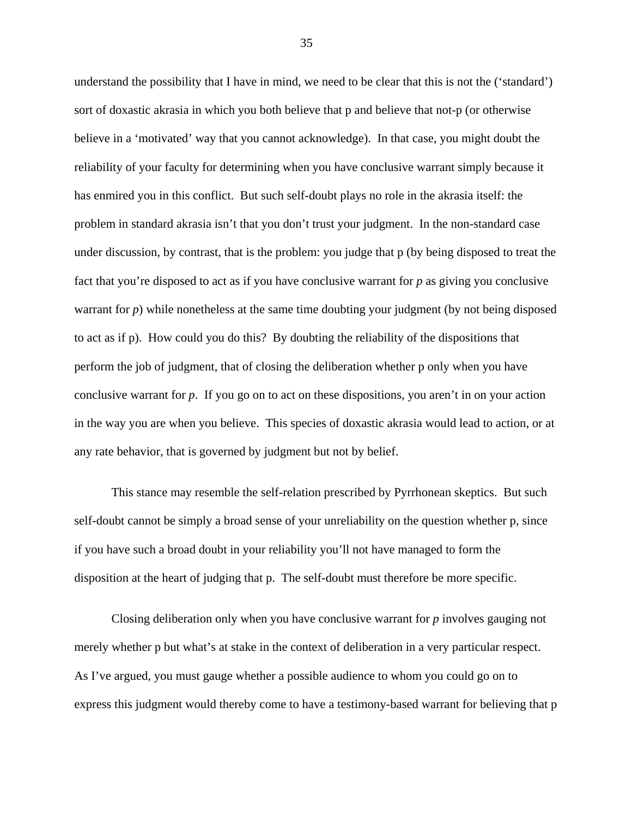understand the possibility that I have in mind, we need to be clear that this is not the ('standard') sort of doxastic akrasia in which you both believe that p and believe that not-p (or otherwise believe in a 'motivated' way that you cannot acknowledge). In that case, you might doubt the reliability of your faculty for determining when you have conclusive warrant simply because it has enmired you in this conflict. But such self-doubt plays no role in the akrasia itself: the problem in standard akrasia isn't that you don't trust your judgment. In the non-standard case under discussion, by contrast, that is the problem: you judge that p (by being disposed to treat the fact that you're disposed to act as if you have conclusive warrant for *p* as giving you conclusive warrant for *p*) while nonetheless at the same time doubting your judgment (by not being disposed to act as if p). How could you do this? By doubting the reliability of the dispositions that perform the job of judgment, that of closing the deliberation whether p only when you have conclusive warrant for *p*. If you go on to act on these dispositions, you aren't in on your action in the way you are when you believe. This species of doxastic akrasia would lead to action, or at any rate behavior, that is governed by judgment but not by belief.

This stance may resemble the self-relation prescribed by Pyrrhonean skeptics. But such self-doubt cannot be simply a broad sense of your unreliability on the question whether p, since if you have such a broad doubt in your reliability you'll not have managed to form the disposition at the heart of judging that p. The self-doubt must therefore be more specific.

Closing deliberation only when you have conclusive warrant for *p* involves gauging not merely whether p but what's at stake in the context of deliberation in a very particular respect. As I've argued, you must gauge whether a possible audience to whom you could go on to express this judgment would thereby come to have a testimony-based warrant for believing that p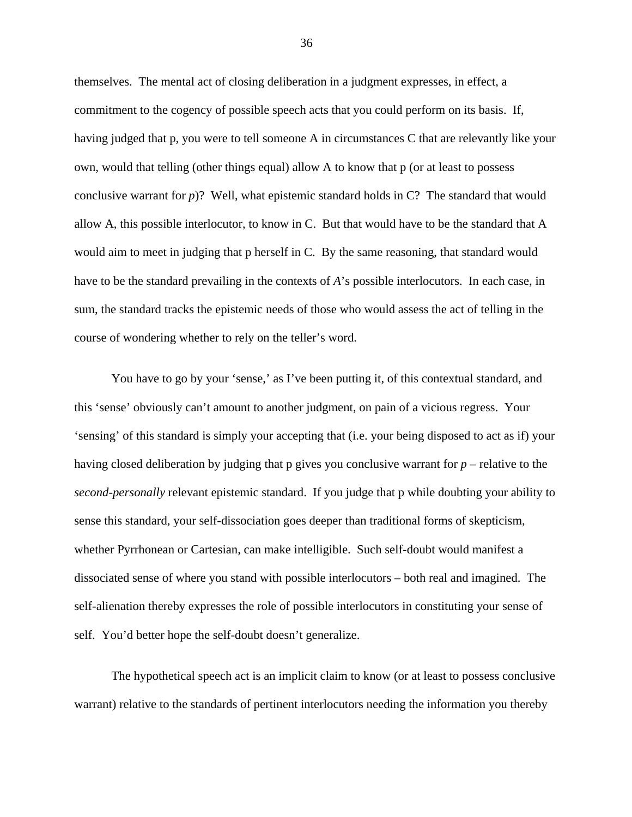themselves. The mental act of closing deliberation in a judgment expresses, in effect, a commitment to the cogency of possible speech acts that you could perform on its basis. If, having judged that p, you were to tell someone A in circumstances C that are relevantly like your own, would that telling (other things equal) allow A to know that p (or at least to possess conclusive warrant for *p*)? Well, what epistemic standard holds in C? The standard that would allow A, this possible interlocutor, to know in C. But that would have to be the standard that A would aim to meet in judging that p herself in C. By the same reasoning, that standard would have to be the standard prevailing in the contexts of *A*'s possible interlocutors. In each case, in sum, the standard tracks the epistemic needs of those who would assess the act of telling in the course of wondering whether to rely on the teller's word.

You have to go by your 'sense,' as I've been putting it, of this contextual standard, and this 'sense' obviously can't amount to another judgment, on pain of a vicious regress. Your 'sensing' of this standard is simply your accepting that (i.e. your being disposed to act as if) your having closed deliberation by judging that p gives you conclusive warrant for *p* – relative to the *second-personally* relevant epistemic standard. If you judge that p while doubting your ability to sense this standard, your self-dissociation goes deeper than traditional forms of skepticism, whether Pyrrhonean or Cartesian, can make intelligible. Such self-doubt would manifest a dissociated sense of where you stand with possible interlocutors – both real and imagined. The self-alienation thereby expresses the role of possible interlocutors in constituting your sense of self. You'd better hope the self-doubt doesn't generalize.

The hypothetical speech act is an implicit claim to know (or at least to possess conclusive warrant) relative to the standards of pertinent interlocutors needing the information you thereby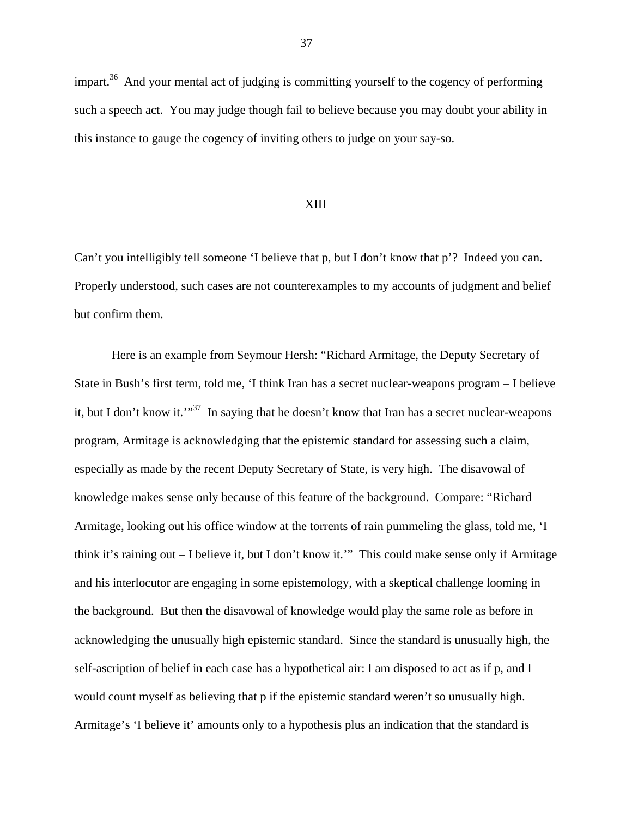impart.<sup>36</sup> And your mental act of judging is committing yourself to the cogency of performing such a speech act. You may judge though fail to believe because you may doubt your ability in this instance to gauge the cogency of inviting others to judge on your say-so.

## XIII

Can't you intelligibly tell someone 'I believe that p, but I don't know that p'? Indeed you can. Properly understood, such cases are not counterexamples to my accounts of judgment and belief but confirm them.

Here is an example from Seymour Hersh: "Richard Armitage, the Deputy Secretary of State in Bush's first term, told me, 'I think Iran has a secret nuclear-weapons program – I believe it, but I don't know it."<sup>37</sup> In saying that he doesn't know that Iran has a secret nuclear-weapons program, Armitage is acknowledging that the epistemic standard for assessing such a claim, especially as made by the recent Deputy Secretary of State, is very high. The disavowal of knowledge makes sense only because of this feature of the background. Compare: "Richard Armitage, looking out his office window at the torrents of rain pummeling the glass, told me, 'I think it's raining out – I believe it, but I don't know it.'" This could make sense only if Armitage and his interlocutor are engaging in some epistemology, with a skeptical challenge looming in the background. But then the disavowal of knowledge would play the same role as before in acknowledging the unusually high epistemic standard. Since the standard is unusually high, the self-ascription of belief in each case has a hypothetical air: I am disposed to act as if p, and I would count myself as believing that p if the epistemic standard weren't so unusually high. Armitage's 'I believe it' amounts only to a hypothesis plus an indication that the standard is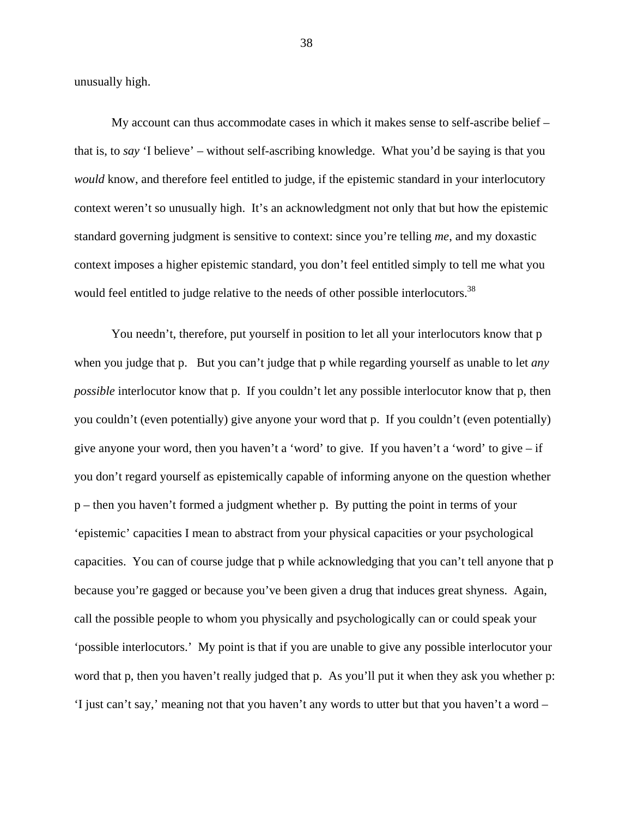unusually high.

My account can thus accommodate cases in which it makes sense to self-ascribe belief – that is, to *say* 'I believe' – without self-ascribing knowledge. What you'd be saying is that you *would* know, and therefore feel entitled to judge, if the epistemic standard in your interlocutory context weren't so unusually high. It's an acknowledgment not only that but how the epistemic standard governing judgment is sensitive to context: since you're telling *me*, and my doxastic context imposes a higher epistemic standard, you don't feel entitled simply to tell me what you would feel entitled to judge relative to the needs of other possible interlocutors.<sup>38</sup>

You needn't, therefore, put yourself in position to let all your interlocutors know that p when you judge that p. But you can't judge that p while regarding yourself as unable to let *any possible* interlocutor know that p. If you couldn't let any possible interlocutor know that p, then you couldn't (even potentially) give anyone your word that p. If you couldn't (even potentially) give anyone your word, then you haven't a 'word' to give. If you haven't a 'word' to give  $-$  if you don't regard yourself as epistemically capable of informing anyone on the question whether p – then you haven't formed a judgment whether p. By putting the point in terms of your 'epistemic' capacities I mean to abstract from your physical capacities or your psychological capacities. You can of course judge that p while acknowledging that you can't tell anyone that p because you're gagged or because you've been given a drug that induces great shyness. Again, call the possible people to whom you physically and psychologically can or could speak your 'possible interlocutors.' My point is that if you are unable to give any possible interlocutor your word that p, then you haven't really judged that p. As you'll put it when they ask you whether p: 'I just can't say,' meaning not that you haven't any words to utter but that you haven't a word –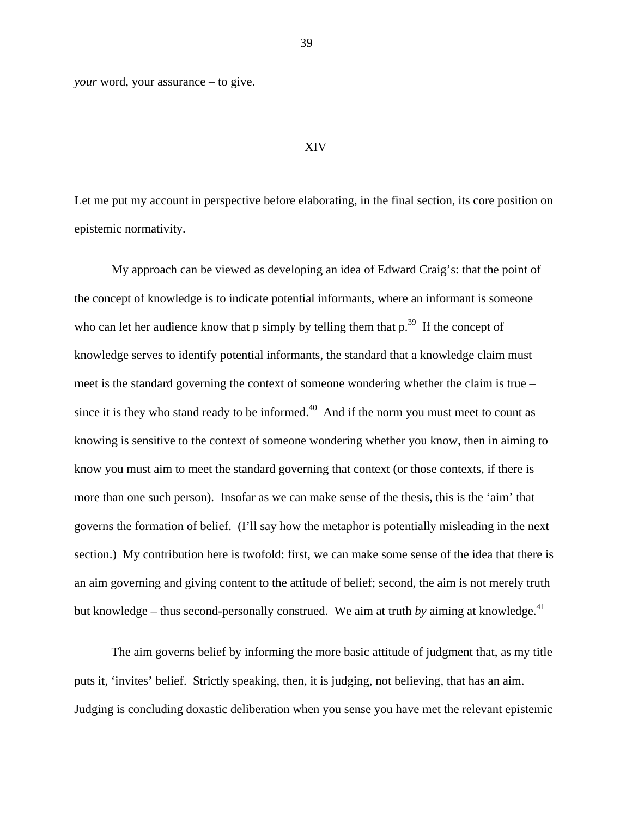*your* word, your assurance – to give.

#### XIV

Let me put my account in perspective before elaborating, in the final section, its core position on epistemic normativity.

My approach can be viewed as developing an idea of Edward Craig's: that the point of the concept of knowledge is to indicate potential informants, where an informant is someone who can let her audience know that p simply by telling them that  $p^{39}$ . If the concept of knowledge serves to identify potential informants, the standard that a knowledge claim must meet is the standard governing the context of someone wondering whether the claim is true – since it is they who stand ready to be informed.<sup> $40$ </sup> And if the norm you must meet to count as knowing is sensitive to the context of someone wondering whether you know, then in aiming to know you must aim to meet the standard governing that context (or those contexts, if there is more than one such person). Insofar as we can make sense of the thesis, this is the 'aim' that governs the formation of belief. (I'll say how the metaphor is potentially misleading in the next section.) My contribution here is twofold: first, we can make some sense of the idea that there is an aim governing and giving content to the attitude of belief; second, the aim is not merely truth but knowledge – thus second-personally construed. We aim at truth *by* aiming at knowledge.<sup>41</sup>

The aim governs belief by informing the more basic attitude of judgment that, as my title puts it, 'invites' belief. Strictly speaking, then, it is judging, not believing, that has an aim. Judging is concluding doxastic deliberation when you sense you have met the relevant epistemic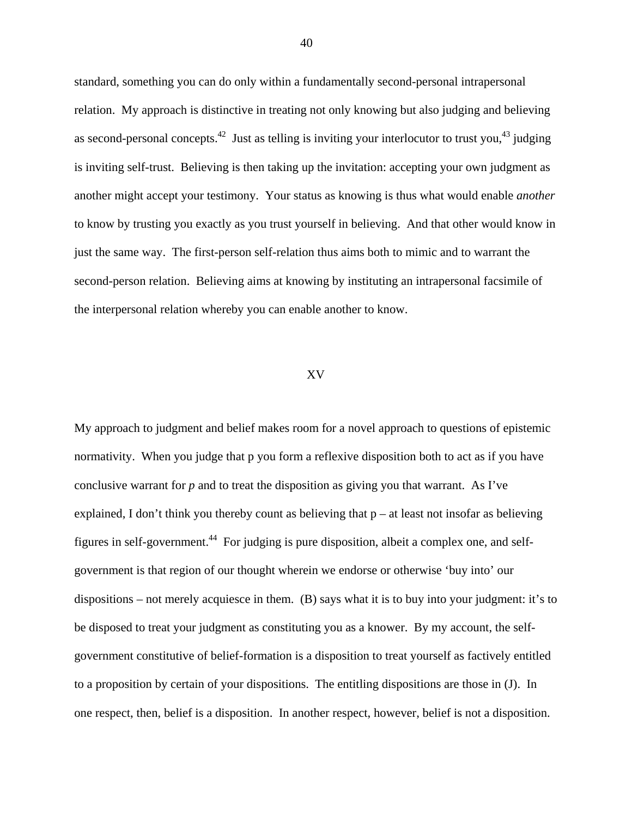standard, something you can do only within a fundamentally second-personal intrapersonal relation. My approach is distinctive in treating not only knowing but also judging and believing as second-personal concepts.<sup>42</sup> Just as telling is inviting your interlocutor to trust you,<sup>43</sup> judging is inviting self-trust. Believing is then taking up the invitation: accepting your own judgment as another might accept your testimony. Your status as knowing is thus what would enable *another* to know by trusting you exactly as you trust yourself in believing. And that other would know in just the same way. The first-person self-relation thus aims both to mimic and to warrant the second-person relation. Believing aims at knowing by instituting an intrapersonal facsimile of the interpersonal relation whereby you can enable another to know.

### XV

My approach to judgment and belief makes room for a novel approach to questions of epistemic normativity. When you judge that p you form a reflexive disposition both to act as if you have conclusive warrant for *p* and to treat the disposition as giving you that warrant. As I've explained, I don't think you thereby count as believing that  $p - at$  least not insofar as believing figures in self-government.<sup>44</sup> For judging is pure disposition, albeit a complex one, and selfgovernment is that region of our thought wherein we endorse or otherwise 'buy into' our dispositions – not merely acquiesce in them. (B) says what it is to buy into your judgment: it's to be disposed to treat your judgment as constituting you as a knower. By my account, the selfgovernment constitutive of belief-formation is a disposition to treat yourself as factively entitled to a proposition by certain of your dispositions. The entitling dispositions are those in (J). In one respect, then, belief is a disposition. In another respect, however, belief is not a disposition.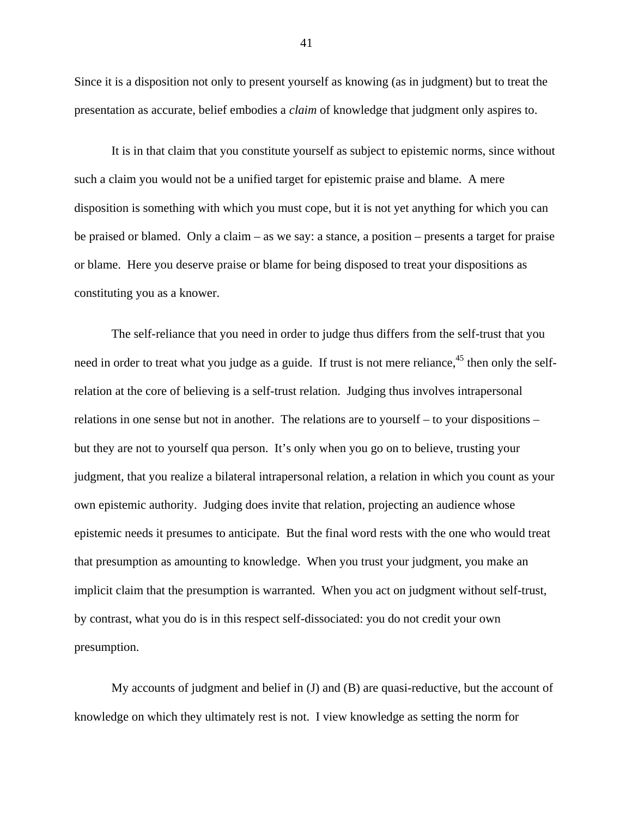Since it is a disposition not only to present yourself as knowing (as in judgment) but to treat the presentation as accurate, belief embodies a *claim* of knowledge that judgment only aspires to.

It is in that claim that you constitute yourself as subject to epistemic norms, since without such a claim you would not be a unified target for epistemic praise and blame. A mere disposition is something with which you must cope, but it is not yet anything for which you can be praised or blamed. Only a claim – as we say: a stance, a position – presents a target for praise or blame. Here you deserve praise or blame for being disposed to treat your dispositions as constituting you as a knower.

The self-reliance that you need in order to judge thus differs from the self-trust that you need in order to treat what you judge as a guide. If trust is not mere reliance,  $45$  then only the selfrelation at the core of believing is a self-trust relation. Judging thus involves intrapersonal relations in one sense but not in another. The relations are to yourself – to your dispositions – but they are not to yourself qua person. It's only when you go on to believe, trusting your judgment, that you realize a bilateral intrapersonal relation, a relation in which you count as your own epistemic authority. Judging does invite that relation, projecting an audience whose epistemic needs it presumes to anticipate. But the final word rests with the one who would treat that presumption as amounting to knowledge. When you trust your judgment, you make an implicit claim that the presumption is warranted. When you act on judgment without self-trust, by contrast, what you do is in this respect self-dissociated: you do not credit your own presumption.

My accounts of judgment and belief in (J) and (B) are quasi-reductive, but the account of knowledge on which they ultimately rest is not. I view knowledge as setting the norm for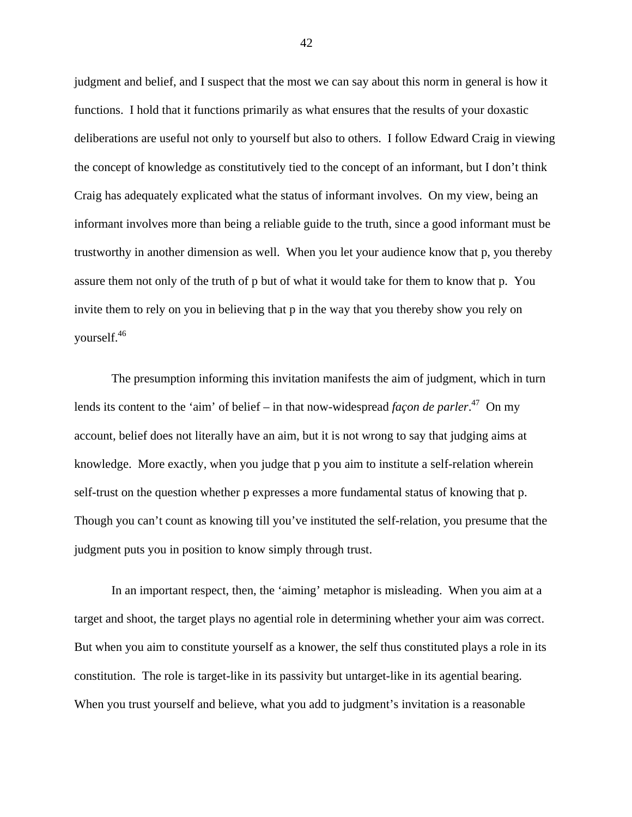judgment and belief, and I suspect that the most we can say about this norm in general is how it functions. I hold that it functions primarily as what ensures that the results of your doxastic deliberations are useful not only to yourself but also to others. I follow Edward Craig in viewing the concept of knowledge as constitutively tied to the concept of an informant, but I don't think Craig has adequately explicated what the status of informant involves. On my view, being an informant involves more than being a reliable guide to the truth, since a good informant must be trustworthy in another dimension as well. When you let your audience know that p, you thereby assure them not only of the truth of p but of what it would take for them to know that p. You invite them to rely on you in believing that p in the way that you thereby show you rely on yourself.46

The presumption informing this invitation manifests the aim of judgment, which in turn lends its content to the 'aim' of belief – in that now-widespread *façon de parler*.<sup>47</sup> On my account, belief does not literally have an aim, but it is not wrong to say that judging aims at knowledge. More exactly, when you judge that p you aim to institute a self-relation wherein self-trust on the question whether p expresses a more fundamental status of knowing that p. Though you can't count as knowing till you've instituted the self-relation, you presume that the judgment puts you in position to know simply through trust.

In an important respect, then, the 'aiming' metaphor is misleading. When you aim at a target and shoot, the target plays no agential role in determining whether your aim was correct. But when you aim to constitute yourself as a knower, the self thus constituted plays a role in its constitution. The role is target-like in its passivity but untarget-like in its agential bearing. When you trust yourself and believe, what you add to judgment's invitation is a reasonable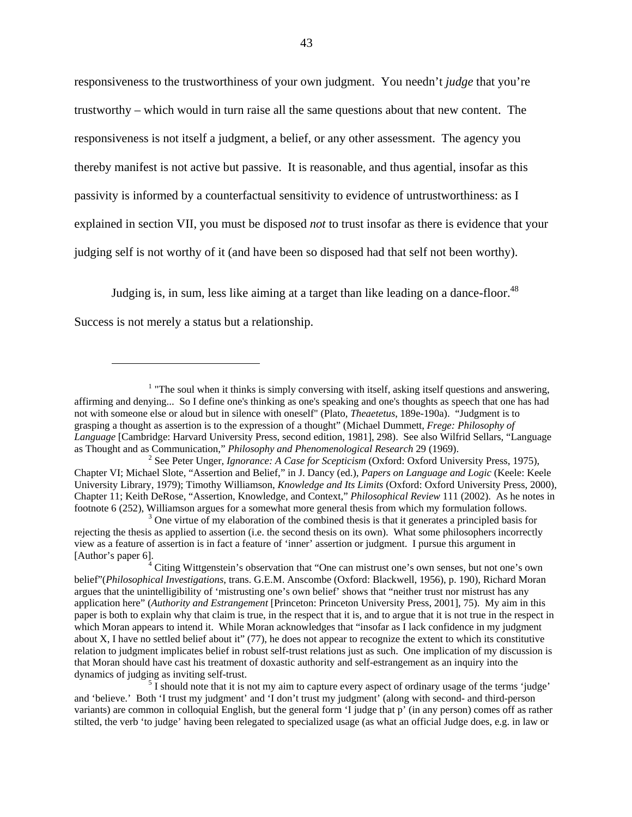responsiveness to the trustworthiness of your own judgment. You needn't *judge* that you're trustworthy – which would in turn raise all the same questions about that new content. The responsiveness is not itself a judgment, a belief, or any other assessment. The agency you thereby manifest is not active but passive. It is reasonable, and thus agential, insofar as this passivity is informed by a counterfactual sensitivity to evidence of untrustworthiness: as I explained in section VII, you must be disposed *not* to trust insofar as there is evidence that your judging self is not worthy of it (and have been so disposed had that self not been worthy).

Judging is, in sum, less like aiming at a target than like leading on a dance-floor.<sup>48</sup>

Success is not merely a status but a relationship.

<u>.</u>

 $1$  "The soul when it thinks is simply conversing with itself, asking itself questions and answering, affirming and denying... So I define one's thinking as one's speaking and one's thoughts as speech that one has had not with someone else or aloud but in silence with oneself" (Plato, *Theaetetus*, 189e-190a). "Judgment is to grasping a thought as assertion is to the expression of a thought" (Michael Dummett, *Frege: Philosophy of Language* [Cambridge: Harvard University Press, second edition, 1981], 298). See also Wilfrid Sellars, "Language as Thought and as Communication," *Philosophy and Phenomenological Research* 29 (1969). 2

<sup>&</sup>lt;sup>2</sup> See Peter Unger, *Ignorance: A Case for Scepticism* (Oxford: Oxford University Press, 1975), Chapter VI; Michael Slote, "Assertion and Belief," in J. Dancy (ed.), *Papers on Language and Logic* (Keele: Keele University Library, 1979); Timothy Williamson, *Knowledge and Its Limits* (Oxford: Oxford University Press, 2000), Chapter 11; Keith DeRose, "Assertion, Knowledge, and Context," *Philosophical Review* 111 (2002). As he notes in footnote 6 (252), Williamson argues for a somewhat more general thesis from which my formulation follows. 3

 $\beta$  One virtue of my elaboration of the combined thesis is that it generates a principled basis for rejecting the thesis as applied to assertion (i.e. the second thesis on its own). What some philosophers incorrectly view as a feature of assertion is in fact a feature of 'inner' assertion or judgment. I pursue this argument in [Author's paper 6].

 $4^4$  Citing Wittgenstein's observation that "One can mistrust one's own senses, but not one's own belief"(*Philosophical Investigations*, trans. G.E.M. Anscombe (Oxford: Blackwell, 1956), p. 190), Richard Moran argues that the unintelligibility of 'mistrusting one's own belief' shows that "neither trust nor mistrust has any application here" (*Authority and Estrangement* [Princeton: Princeton University Press, 2001], 75). My aim in this paper is both to explain why that claim is true, in the respect that it is, and to argue that it is not true in the respect in which Moran appears to intend it. While Moran acknowledges that "insofar as I lack confidence in my judgment about X, I have no settled belief about it" (77), he does not appear to recognize the extent to which its constitutive relation to judgment implicates belief in robust self-trust relations just as such. One implication of my discussion is that Moran should have cast his treatment of doxastic authority and self-estrangement as an inquiry into the dynamics of judging as inviting self-trust. 5

 $<sup>5</sup>$  I should note that it is not my aim to capture every aspect of ordinary usage of the terms 'judge'</sup> and 'believe.' Both 'I trust my judgment' and 'I don't trust my judgment' (along with second- and third-person variants) are common in colloquial English, but the general form 'I judge that p' (in any person) comes off as rather stilted, the verb 'to judge' having been relegated to specialized usage (as what an official Judge does, e.g. in law or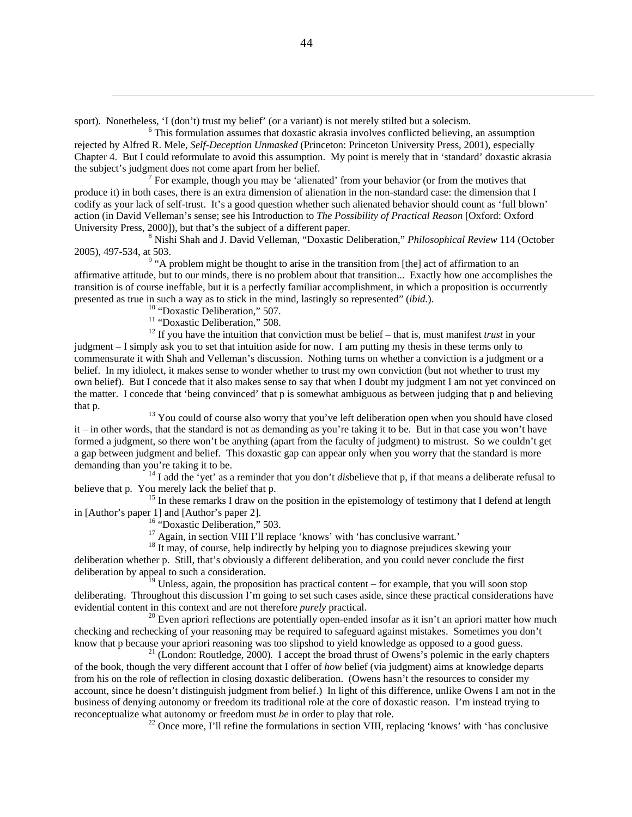sport). Nonetheless, 'I (don't) trust my belief' (or a variant) is not merely stilted but a solecism.

 $\delta$  This formulation assumes that doxastic akrasia involves conflicted believing, an assumption rejected by Alfred R. Mele, *Self-Deception Unmasked* (Princeton: Princeton University Press, 2001), especially Chapter 4. But I could reformulate to avoid this assumption. My point is merely that in 'standard' doxastic akrasia the subject's judgment does not come apart from her belief. 7

 $\frac{7}{1}$  For example, though you may be 'alienated' from your behavior (or from the motives that produce it) in both cases, there is an extra dimension of alienation in the non-standard case: the dimension that I codify as your lack of self-trust. It's a good question whether such alienated behavior should count as 'full blown' action (in David Velleman's sense; see his Introduction to *The Possibility of Practical Reason* [Oxford: Oxford University Press, 2000]), but that's the subject of a different paper.

<sup>8</sup> Nishi Shah and J. David Velleman, "Doxastic Deliberation," *Philosophical Review* 114 (October 2005), 497-534, at 503. 9

 $^9$  "A problem might be thought to arise in the transition from [the] act of affirmation to an affirmative attitude, but to our minds, there is no problem about that transition... Exactly how one accomplishes the transition is of course ineffable, but it is a perfectly familiar accomplishment, in which a proposition is occurrently presented as true in such a way as to stick in the mind, lastingly so represented" (*ibid.*). <sup>10</sup> "Doxastic Deliberation," 507.

 $\overline{a}$ 

<sup>11</sup> "Doxastic Deliberation," 508.

<sup>12</sup> If you have the intuition that conviction must be belief – that is, must manifest *trust* in your judgment – I simply ask you to set that intuition aside for now. I am putting my thesis in these terms only to commensurate it with Shah and Velleman's discussion. Nothing turns on whether a conviction is a judgment or a belief. In my idiolect, it makes sense to wonder whether to trust my own conviction (but not whether to trust my own belief). But I concede that it also makes sense to say that when I doubt my judgment I am not yet convinced on the matter. I concede that 'being convinced' that p is somewhat ambiguous as between judging that p and believing that p. 13 You could of course also worry that you've left deliberation open when you should have closed

it – in other words, that the standard is not as demanding as you're taking it to be. But in that case you won't have formed a judgment, so there won't be anything (apart from the faculty of judgment) to mistrust. So we couldn't get a gap between judgment and belief. This doxastic gap can appear only when you worry that the standard is more demanding than you're taking it to be.<br><sup>14</sup> I add the 'yet' as a reminder that you don't *dis*believe that p, if that means a deliberate refusal to

believe that p. You merely lack the belief that p.<br><sup>15</sup> In these remarks I draw on the position in the epistemology of testimony that I defend at length

in [Author's paper 1] and [Author's paper 2].<br><sup>16</sup> "Doxastic Deliberation," 503.<br><sup>17</sup> Again, in section VIII I'll replace 'knows' with 'has conclusive warrant.'

<sup>18</sup> It may, of course, help indirectly by helping you to diagnose prejudices skewing your deliberation whether p. Still, that's obviously a different deliberation, and you could never conclude the first deliberation by appeal to such a consideration.

 $19$  Unless, again, the proposition has practical content – for example, that you will soon stop deliberating. Throughout this discussion I'm going to set such cases aside, since these practical considerations have evidential content in this context and are not therefore *purely* practical.<br><sup>20</sup> Even apriori reflections are potentially open-ended insofar as it isn't an apriori matter how much

checking and rechecking of your reasoning may be required to safeguard against mistakes. Sometimes you don't know that p because your apriori reasoning was too slipshod to yield knowledge as opposed to a good guess.<br><sup>21</sup> (London: Routledge, 2000). I accept the broad thrust of Owens's polemic in the early chapters

of the book, though the very different account that I offer of *how* belief (via judgment) aims at knowledge departs from his on the role of reflection in closing doxastic deliberation. (Owens hasn't the resources to consider my account, since he doesn't distinguish judgment from belief.) In light of this difference, unlike Owens I am not in the business of denying autonomy or freedom its traditional role at the core of doxastic reason. I'm instead trying to reconceptualize what autonomy or freedom must *be* in order to play that role.<br><sup>22</sup> Once more, I'll refine the formulations in section VIII, replacing 'knows' with 'has conclusive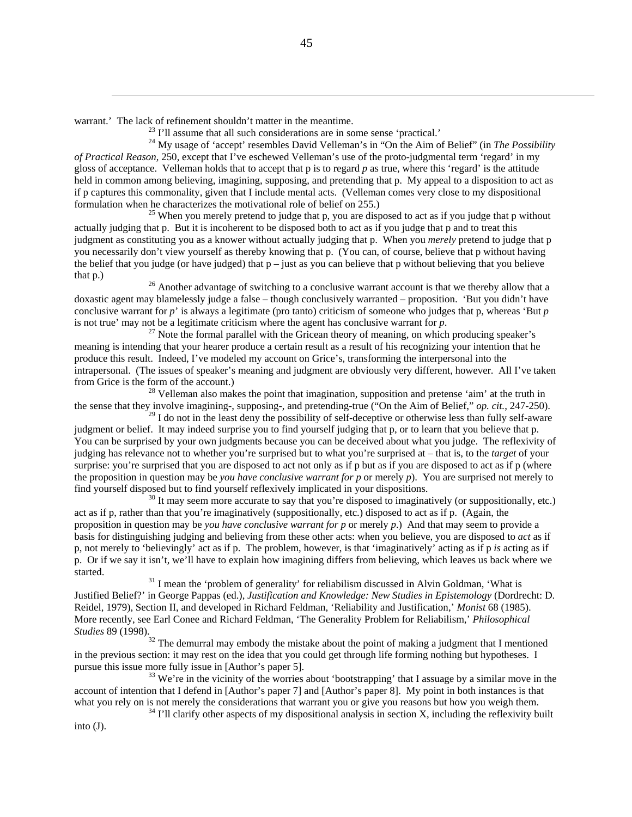$\overline{a}$ 

warrant.' The lack of refinement shouldn't matter in the meantime.<br><sup>23</sup> I'll assume that all such considerations are in some sense 'practical.'<br><sup>24</sup> My usage of 'accept' resembles David Velleman's in "On the Aim of Belief *of Practical Reason*, 250, except that I've eschewed Velleman's use of the proto-judgmental term 'regard' in my gloss of acceptance. Velleman holds that to accept that p is to regard *p* as true, where this 'regard' is the attitude held in common among believing, imagining, supposing, and pretending that p. My appeal to a disposition to act as if p captures this commonality, given that I include mental acts. (Velleman comes very close to my dispositional formulation when he characterizes the motivational role of belief on 255.)<br><sup>25</sup> When you merely pretend to judge that p, you are disposed to act as if you judge that p without

actually judging that p. But it is incoherent to be disposed both to act as if you judge that p and to treat this judgment as constituting you as a knower without actually judging that p. When you *merely* pretend to judge that p you necessarily don't view yourself as thereby knowing that p. (You can, of course, believe that p without having the belief that you judge (or have judged) that  $p -$  just as you can believe that p without believing that you believe that p.) 26 Another advantage of switching to a conclusive warrant account is that we thereby allow that a

doxastic agent may blamelessly judge a false – though conclusively warranted – proposition. 'But you didn't have conclusive warrant for *p*' is always a legitimate (pro tanto) criticism of someone who judges that p, whereas 'But *p* is not true' may not be a legitimate criticism where the agent has conclusive warrant for  $p$ .<br><sup>27</sup> Note the formal parallel with the Gricean theory of meaning, on which producing speaker's

meaning is intending that your hearer produce a certain result as a result of his recognizing your intention that he produce this result. Indeed, I've modeled my account on Grice's, transforming the interpersonal into the intrapersonal. (The issues of speaker's meaning and judgment are obviously very different, however. All I've taken from Grice is the form of the account.)<br><sup>28</sup> Velleman also makes the point that imagination, supposition and pretense 'aim' at the truth in

the sense that they involve imagining-, supposing-, and pretending-true ("On the Aim of Belief," *op. cit.*, 247-250).

 $^{29}$  I do not in the least deny the possibility of self-deceptive or otherwise less than fully self-aware judgment or belief. It may indeed surprise you to find yourself judging that p, or to learn that you believe that p. You can be surprised by your own judgments because you can be deceived about what you judge. The reflexivity of judging has relevance not to whether you're surprised but to what you're surprised at – that is, to the *target* of your surprise: you're surprised that you are disposed to act not only as if p but as if you are disposed to act as if p (where the proposition in question may be *you have conclusive warrant for p* or merely *p*). You are surprised not merely to find yourself disposed but to find yourself reflexively implicated in your dispositions.<br><sup>30</sup> It may seem more accurate to say that you're disposed to imaginatively (or suppositionally, etc.)

act as if p, rather than that you're imaginatively (suppositionally, etc.) disposed to act as if p. (Again, the proposition in question may be *you have conclusive warrant for p* or merely *p*.) And that may seem to provide a basis for distinguishing judging and believing from these other acts: when you believe, you are disposed to *act* as if p, not merely to 'believingly' act as if p. The problem, however, is that 'imaginatively' acting as if p *is* acting as if p. Or if we say it isn't, we'll have to explain how imagining differs from believing, which leaves us back where we started. <sup>31</sup> I mean the 'problem of generality' for reliabilism discussed in Alvin Goldman, 'What is

Justified Belief?' in George Pappas (ed.), *Justification and Knowledge: New Studies in Epistemology* (Dordrecht: D. Reidel, 1979), Section II, and developed in Richard Feldman, 'Reliability and Justification,' *Monist* 68 (1985). More recently, see Earl Conee and Richard Feldman, 'The Generality Problem for Reliabilism,' *Philosophical* 

*Studies* 89 (1998).<br><sup>32</sup> The demurral may embody the mistake about the point of making a judgment that I mentioned in the previous section: it may rest on the idea that you could get through life forming nothing but hypotheses. I pursue this issue more fully issue in [Author's paper 5].<br><sup>33</sup> We're in the vicinity of the worries about 'bootstrapping' that I assuage by a similar move in the

account of intention that I defend in [Author's paper 7] and [Author's paper 8]. My point in both instances is that what you rely on is not merely the considerations that warrant you or give you reasons but how you weigh them.<br><sup>34</sup> I'll clarify other aspects of my dispositional analysis in section X, including the reflexivity built

into (J).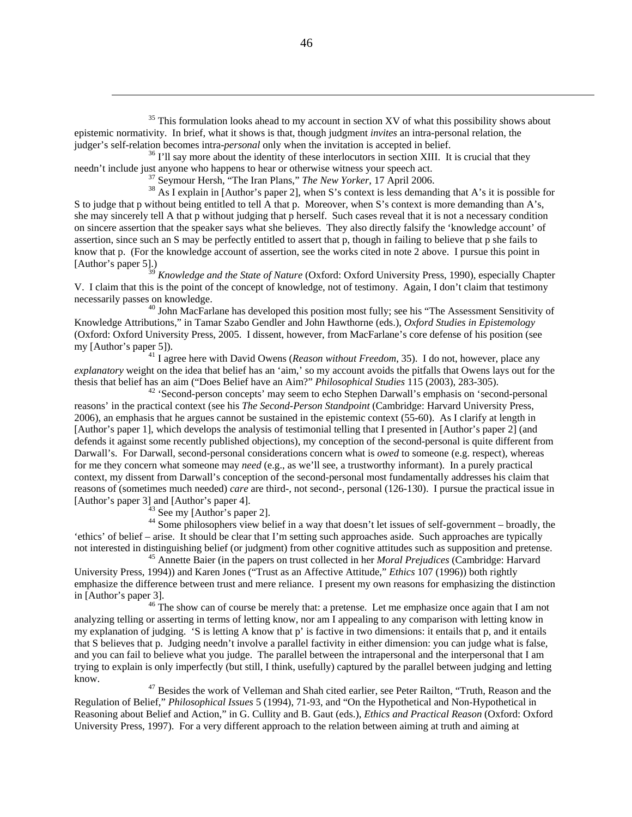$35$  This formulation looks ahead to my account in section XV of what this possibility shows about epistemic normativity. In brief, what it shows is that, though judgment *invites* an intra-personal relation, the

judger's self-relation becomes intra-*personal* only when the invitation is accepted in belief.<br><sup>36</sup> I'll say more about the identity of these interlocutors in section XIII. It is crucial that they needn't include just any

<sup>37</sup> Seymour Hersh, "The Iran Plans," *The New Yorker*, 17 April 2006.<br><sup>38</sup> As I explain in [Author's paper 2], when S's context is less demanding that A's it is possible for S to judge that p without being entitled to tell A that p. Moreover, when S's context is more demanding than A's, she may sincerely tell A that p without judging that p herself. Such cases reveal that it is not a necessary condition on sincere assertion that the speaker says what she believes. They also directly falsify the 'knowledge account' of assertion, since such an S may be perfectly entitled to assert that p, though in failing to believe that p she fails to know that p. (For the knowledge account of assertion, see the works cited in note 2 above. I pursue this point in [Author's paper 5].)

<sup>39</sup> *Knowledge and the State of Nature* (Oxford: Oxford University Press, 1990), especially Chapter V. I claim that this is the point of the concept of knowledge, not of testimony. Again, I don't claim that testimony

necessarily passes on knowledge.<br><sup>40</sup> John MacFarlane has developed this position most fully; see his "The Assessment Sensitivity of Knowledge Attributions," in Tamar Szabo Gendler and John Hawthorne (eds.), *Oxford Studies in Epistemology* (Oxford: Oxford University Press, 2005. I dissent, however, from MacFarlane's core defense of his position (see

 $^{41}$  I agree here with David Owens (*Reason without Freedom*, 35). I do not, however, place any *explanatory* weight on the idea that belief has an 'aim,' so my account avoids the pitfalls that Owens lays out for the thesis that belief has an aim ("Does Belief have an Aim?" *Philosophical Studies* 115 (2003), 283-305). 42 'Second-person concepts' may seem to echo Stephen Darwall's emphasis on 'second-personal

reasons' in the practical context (see his *The Second-Person Standpoint* (Cambridge: Harvard University Press, 2006), an emphasis that he argues cannot be sustained in the epistemic context (55-60). As I clarify at length in [Author's paper 1], which develops the analysis of testimonial telling that I presented in [Author's paper 2] (and defends it against some recently published objections), my conception of the second-personal is quite different from Darwall's. For Darwall, second-personal considerations concern what is *owed* to someone (e.g. respect), whereas for me they concern what someone may *need* (e.g., as we'll see, a trustworthy informant). In a purely practical context, my dissent from Darwall's conception of the second-personal most fundamentally addresses his claim that reasons of (sometimes much needed) *care* are third-, not second-, personal (126-130). I pursue the practical issue in [Author's paper 3] and [Author's paper 4].<br><sup>43</sup> See my [Author's paper 2].

 $\overline{a}$ 

<sup>44</sup> Some philosophers view belief in a way that doesn't let issues of self-government – broadly, the 'ethics' of belief – arise. It should be clear that I'm setting such approaches aside. Such approaches are typically not interested in distinguishing belief (or judgment) from other cognitive attitudes such as supposition and pretense. 45 Annette Baier (in the papers on trust collected in her *Moral Prejudices* (Cambridge: Harvard

University Press, 1994)) and Karen Jones ("Trust as an Affective Attitude," *Ethics* 107 (1996)) both rightly emphasize the difference between trust and mere reliance. I present my own reasons for emphasizing the distinction in [Author's paper 3].

 $46$  The show can of course be merely that: a pretense. Let me emphasize once again that I am not analyzing telling or asserting in terms of letting know, nor am I appealing to any comparison with letting know in my explanation of judging. 'S is letting A know that p' is factive in two dimensions: it entails that p, and it entails that S believes that p. Judging needn't involve a parallel factivity in either dimension: you can judge what is false, and you can fail to believe what you judge. The parallel between the intrapersonal and the interpersonal that I am trying to explain is only imperfectly (but still, I think, usefully) captured by the parallel between judging and letting know. 47 Besides the work of Velleman and Shah cited earlier, see Peter Railton, "Truth, Reason and the

Regulation of Belief," *Philosophical Issues* 5 (1994), 71-93, and "On the Hypothetical and Non-Hypothetical in Reasoning about Belief and Action," in G. Cullity and B. Gaut (eds.), *Ethics and Practical Reason* (Oxford: Oxford University Press, 1997). For a very different approach to the relation between aiming at truth and aiming at